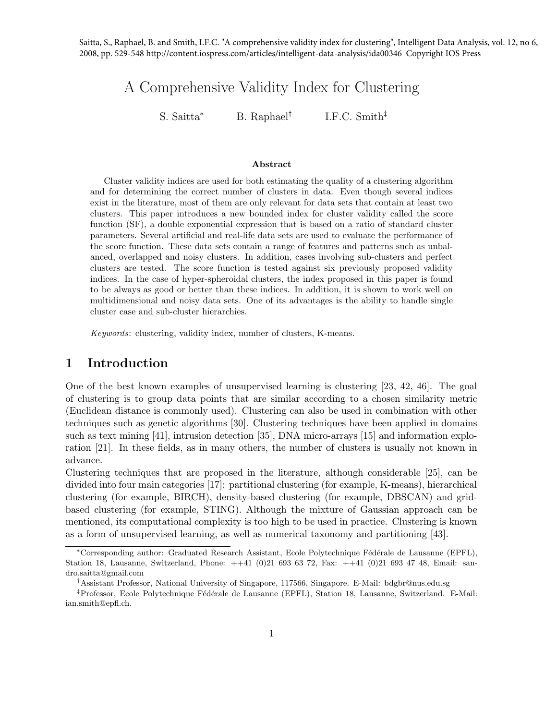Saitta, S., Raphael, B. and Smith, I.F.C. "A comprehensive validity index for clustering", Intelligent Data Analysis, vol. 12, no 6, 2008, pp. 529-548 http://content.iospress.com/articles/intelligent-data-analysis/ida00346 Copyright IOS Press

## A Comprehensive Validity Index for Clustering

S. Saitta<sup>∗</sup> B. Raphael† I.F.C. Smith‡

#### Abstract

Cluster validity indices are used for both estimating the quality of a clustering algorithm and for determining the correct number of clusters in data. Even though several indices exist in the literature, most of them are only relevant for data sets that contain at least two clusters. This paper introduces a new bounded index for cluster validity called the score function (SF), a double exponential expression that is based on a ratio of standard cluster parameters. Several artificial and real-life data sets are used to evaluate the performance of the score function. These data sets contain a range of features and patterns such as unbalanced, overlapped and noisy clusters. In addition, cases involving sub-clusters and perfect clusters are tested. The score function is tested against six previously proposed validity indices. In the case of hyper-spheroidal clusters, the index proposed in this paper is found to be always as good or better than these indices. In addition, it is shown to work well on multidimensional and noisy data sets. One of its advantages is the ability to handle single cluster case and sub-cluster hierarchies.

Keywords: clustering, validity index, number of clusters, K-means.

### 1 Introduction

One of the best known examples of unsupervised learning is clustering [23, 42, 46]. The goal of clustering is to group data points that are similar according to a chosen similarity metric (Euclidean distance is commonly used). Clustering can also be used in combination with other techniques such as genetic algorithms [30]. Clustering techniques have been applied in domains such as text mining [41], intrusion detection [35], DNA micro-arrays [15] and information exploration [21]. In these fields, as in many others, the number of clusters is usually not known in advance.

Clustering techniques that are proposed in the literature, although considerable [25], can be divided into four main categories [17]: partitional clustering (for example, K-means), hierarchical clustering (for example, BIRCH), density-based clustering (for example, DBSCAN) and gridbased clustering (for example, STING). Although the mixture of Gaussian approach can be mentioned, its computational complexity is too high to be used in practice. Clustering is known as a form of unsupervised learning, as well as numerical taxonomy and partitioning [43].

<sup>∗</sup>Corresponding author: Graduated Research Assistant, Ecole Polytechnique F´ed´erale de Lausanne (EPFL), Station 18, Lausanne, Switzerland, Phone: ++41 (0)21 693 63 72, Fax: ++41 (0)21 693 47 48, Email: sandro.saitta@gmail.com

<sup>†</sup>Assistant Professor, National University of Singapore, 117566, Singapore. E-Mail: bdgbr@nus.edu.sg

<sup>&</sup>lt;sup>‡</sup>Professor, Ecole Polytechnique Fédérale de Lausanne (EPFL), Station 18, Lausanne, Switzerland. E-Mail: ian.smith@epfl.ch.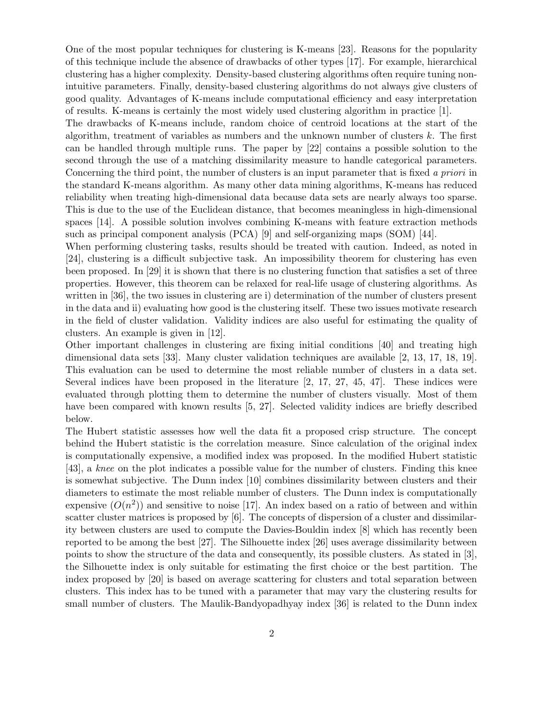One of the most popular techniques for clustering is K-means [23]. Reasons for the popularity of this technique include the absence of drawbacks of other types [17]. For example, hierarchical clustering has a higher complexity. Density-based clustering algorithms often require tuning nonintuitive parameters. Finally, density-based clustering algorithms do not always give clusters of good quality. Advantages of K-means include computational efficiency and easy interpretation of results. K-means is certainly the most widely used clustering algorithm in practice [1].

The drawbacks of K-means include, random choice of centroid locations at the start of the algorithm, treatment of variables as numbers and the unknown number of clusters k. The first can be handled through multiple runs. The paper by [22] contains a possible solution to the second through the use of a matching dissimilarity measure to handle categorical parameters. Concerning the third point, the number of clusters is an input parameter that is fixed *a priori* in the standard K-means algorithm. As many other data mining algorithms, K-means has reduced reliability when treating high-dimensional data because data sets are nearly always too sparse. This is due to the use of the Euclidean distance, that becomes meaningless in high-dimensional spaces [14]. A possible solution involves combining K-means with feature extraction methods such as principal component analysis (PCA) [9] and self-organizing maps (SOM) [44].

When performing clustering tasks, results should be treated with caution. Indeed, as noted in [24], clustering is a difficult subjective task. An impossibility theorem for clustering has even been proposed. In [29] it is shown that there is no clustering function that satisfies a set of three properties. However, this theorem can be relaxed for real-life usage of clustering algorithms. As written in [36], the two issues in clustering are i) determination of the number of clusters present in the data and ii) evaluating how good is the clustering itself. These two issues motivate research in the field of cluster validation. Validity indices are also useful for estimating the quality of clusters. An example is given in [12].

Other important challenges in clustering are fixing initial conditions [40] and treating high dimensional data sets [33]. Many cluster validation techniques are available [2, 13, 17, 18, 19]. This evaluation can be used to determine the most reliable number of clusters in a data set. Several indices have been proposed in the literature [2, 17, 27, 45, 47]. These indices were evaluated through plotting them to determine the number of clusters visually. Most of them have been compared with known results [5, 27]. Selected validity indices are briefly described below.

The Hubert statistic assesses how well the data fit a proposed crisp structure. The concept behind the Hubert statistic is the correlation measure. Since calculation of the original index is computationally expensive, a modified index was proposed. In the modified Hubert statistic [43], a *knee* on the plot indicates a possible value for the number of clusters. Finding this knee is somewhat subjective. The Dunn index [10] combines dissimilarity between clusters and their diameters to estimate the most reliable number of clusters. The Dunn index is computationally expensive  $(O(n^2))$  and sensitive to noise [17]. An index based on a ratio of between and within scatter cluster matrices is proposed by [6]. The concepts of dispersion of a cluster and dissimilarity between clusters are used to compute the Davies-Bouldin index [8] which has recently been reported to be among the best [27]. The Silhouette index [26] uses average dissimilarity between points to show the structure of the data and consequently, its possible clusters. As stated in [3], the Silhouette index is only suitable for estimating the first choice or the best partition. The index proposed by [20] is based on average scattering for clusters and total separation between clusters. This index has to be tuned with a parameter that may vary the clustering results for small number of clusters. The Maulik-Bandyopadhyay index [36] is related to the Dunn index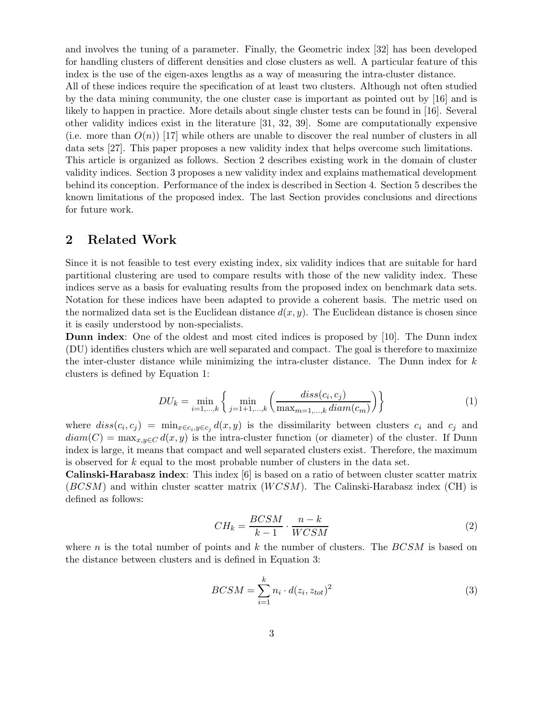and involves the tuning of a parameter. Finally, the Geometric index [32] has been developed for handling clusters of different densities and close clusters as well. A particular feature of this index is the use of the eigen-axes lengths as a way of measuring the intra-cluster distance. All of these indices require the specification of at least two clusters. Although not often studied by the data mining community, the one cluster case is important as pointed out by [16] and is likely to happen in practice. More details about single cluster tests can be found in [16]. Several

other validity indices exist in the literature [31, 32, 39]. Some are computationally expensive (i.e. more than  $O(n)$ ) [17] while others are unable to discover the real number of clusters in all data sets [27]. This paper proposes a new validity index that helps overcome such limitations. This article is organized as follows. Section 2 describes existing work in the domain of cluster validity indices. Section 3 proposes a new validity index and explains mathematical development behind its conception. Performance of the index is described in Section 4. Section 5 describes the known limitations of the proposed index. The last Section provides conclusions and directions for future work.

## 2 Related Work

Since it is not feasible to test every existing index, six validity indices that are suitable for hard partitional clustering are used to compare results with those of the new validity index. These indices serve as a basis for evaluating results from the proposed index on benchmark data sets. Notation for these indices have been adapted to provide a coherent basis. The metric used on the normalized data set is the Euclidean distance  $d(x, y)$ . The Euclidean distance is chosen since it is easily understood by non-specialists.

Dunn index: One of the oldest and most cited indices is proposed by [10]. The Dunn index (DU) identifies clusters which are well separated and compact. The goal is therefore to maximize the inter-cluster distance while minimizing the intra-cluster distance. The Dunn index for k clusters is defined by Equation 1:

$$
DU_{k} = \min_{i=1,\dots,k} \left\{ \min_{j=1+1,\dots,k} \left( \frac{diss(c_i, c_j)}{\max_{m=1,\dots,k} diam(c_m)} \right) \right\}
$$
(1)

where  $diss(c_i, c_j) = \min_{x \in c_i, y \in c_j} d(x, y)$  is the dissimilarity between clusters  $c_i$  and  $c_j$  and  $diam(C) = \max_{x,y \in C} d(x,y)$  is the intra-cluster function (or diameter) of the cluster. If Dunn index is large, it means that compact and well separated clusters exist. Therefore, the maximum is observed for k equal to the most probable number of clusters in the data set.

Calinski-Harabasz index: This index [6] is based on a ratio of between cluster scatter matrix  $(BCSM)$  and within cluster scatter matrix  $(WCSM)$ . The Calinski-Harabasz index (CH) is defined as follows:

$$
CH_k = \frac{BCSM}{k-1} \cdot \frac{n-k}{WCSM} \tag{2}
$$

where n is the total number of points and k the number of clusters. The  $BCSM$  is based on the distance between clusters and is defined in Equation 3:

$$
BCSM = \sum_{i=1}^{k} n_i \cdot d(z_i, z_{tot})^2
$$
\n(3)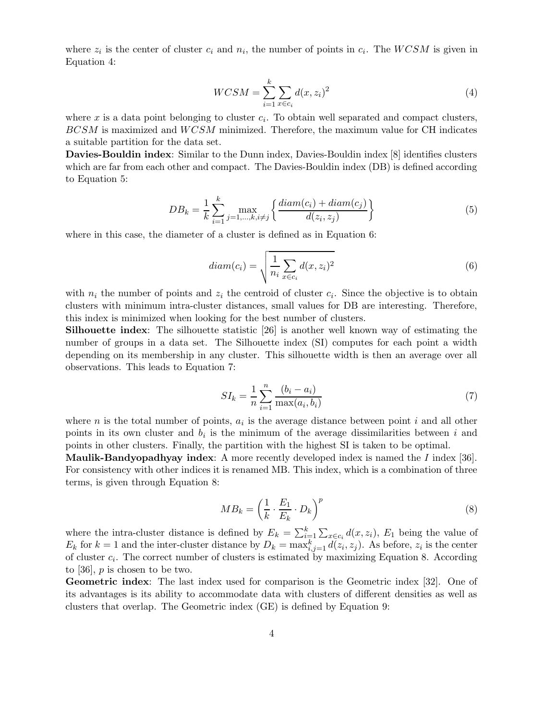where  $z_i$  is the center of cluster  $c_i$  and  $n_i$ , the number of points in  $c_i$ . The  $WCSM$  is given in Equation 4:

$$
WCSM = \sum_{i=1}^{k} \sum_{x \in c_i} d(x, z_i)^2
$$
\n<sup>(4)</sup>

where  $x$  is a data point belonging to cluster  $c_i$ . To obtain well separated and compact clusters,  $BCSM$  is maximized and  $WCSM$  minimized. Therefore, the maximum value for CH indicates a suitable partition for the data set.

Davies-Bouldin index: Similar to the Dunn index, Davies-Bouldin index [8] identifies clusters which are far from each other and compact. The Davies-Bouldin index (DB) is defined according to Equation 5:

$$
DB_k = \frac{1}{k} \sum_{i=1}^k \max_{j=1,\dots,k, i \neq j} \left\{ \frac{diam(c_i) + diam(c_j)}{d(z_i, z_j)} \right\}
$$
(5)

where in this case, the diameter of a cluster is defined as in Equation 6:

$$
diam(c_i) = \sqrt{\frac{1}{n_i} \sum_{x \in c_i} d(x, z_i)^2}
$$
\n(6)

with  $n_i$  the number of points and  $z_i$  the centroid of cluster  $c_i$ . Since the objective is to obtain clusters with minimum intra-cluster distances, small values for DB are interesting. Therefore, this index is minimized when looking for the best number of clusters.

Silhouette index: The silhouette statistic [26] is another well known way of estimating the number of groups in a data set. The Silhouette index (SI) computes for each point a width depending on its membership in any cluster. This silhouette width is then an average over all observations. This leads to Equation 7:

$$
SI_k = \frac{1}{n} \sum_{i=1}^{n} \frac{(b_i - a_i)}{\max(a_i, b_i)}
$$
(7)

where  $n$  is the total number of points,  $a_i$  is the average distance between point  $i$  and all other points in its own cluster and  $b_i$  is the minimum of the average dissimilarities between i and points in other clusters. Finally, the partition with the highest SI is taken to be optimal.

Maulik-Bandyopadhyay index: A more recently developed index is named the *I* index [36]. For consistency with other indices it is renamed MB. This index, which is a combination of three terms, is given through Equation 8:

$$
MB_k = \left(\frac{1}{k} \cdot \frac{E_1}{E_k} \cdot D_k\right)^p \tag{8}
$$

where the intra-cluster distance is defined by  $E_k = \sum_{i=1}^k \sum_{x \in c_i} d(x, z_i)$ ,  $E_1$  being the value of  $E_k$  for  $k=1$  and the inter-cluster distance by  $D_k = \max_{i,j=1}^k d(z_i, z_j)$ . As before,  $z_i$  is the center of cluster  $c_i$ . The correct number of clusters is estimated by maximizing Equation 8. According to [36],  $p$  is chosen to be two.

Geometric index: The last index used for comparison is the Geometric index [32]. One of its advantages is its ability to accommodate data with clusters of different densities as well as clusters that overlap. The Geometric index (GE) is defined by Equation 9: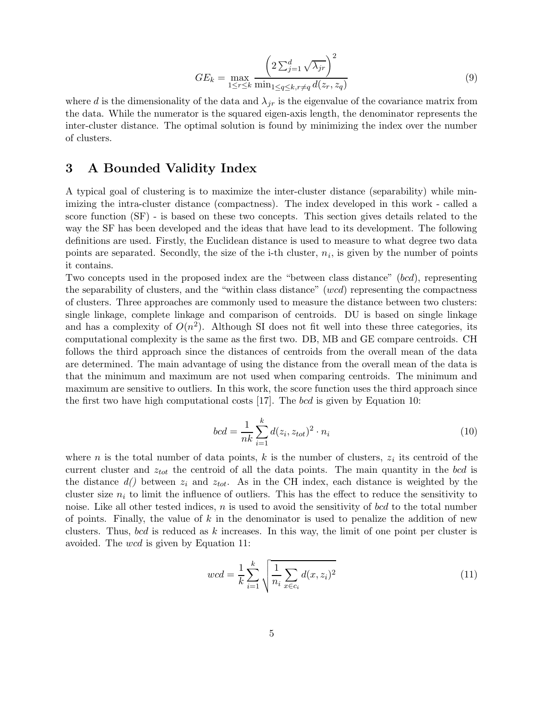$$
GE_k = \max_{1 \le r \le k} \frac{\left(2\sum_{j=1}^d \sqrt{\lambda_{jr}}\right)^2}{\min_{1 \le q \le k, r \ne q} d(z_r, z_q)}
$$
(9)

where d is the dimensionality of the data and  $\lambda_{ir}$  is the eigenvalue of the covariance matrix from the data. While the numerator is the squared eigen-axis length, the denominator represents the inter-cluster distance. The optimal solution is found by minimizing the index over the number of clusters.

## 3 A Bounded Validity Index

A typical goal of clustering is to maximize the inter-cluster distance (separability) while minimizing the intra-cluster distance (compactness). The index developed in this work - called a score function (SF) - is based on these two concepts. This section gives details related to the way the SF has been developed and the ideas that have lead to its development. The following definitions are used. Firstly, the Euclidean distance is used to measure to what degree two data points are separated. Secondly, the size of the i-th cluster,  $n_i$ , is given by the number of points it contains.

Two concepts used in the proposed index are the "between class distance" (bcd), representing the separability of clusters, and the "within class distance" (wcd) representing the compactness of clusters. Three approaches are commonly used to measure the distance between two clusters: single linkage, complete linkage and comparison of centroids. DU is based on single linkage and has a complexity of  $O(n^2)$ . Although SI does not fit well into these three categories, its computational complexity is the same as the first two. DB, MB and GE compare centroids. CH follows the third approach since the distances of centroids from the overall mean of the data are determined. The main advantage of using the distance from the overall mean of the data is that the minimum and maximum are not used when comparing centroids. The minimum and maximum are sensitive to outliers. In this work, the score function uses the third approach since the first two have high computational costs  $[17]$ . The bcd is given by Equation 10:

$$
bcd = \frac{1}{nk} \sum_{i=1}^{k} d(z_i, z_{tot})^2 \cdot n_i
$$
\n(10)

where *n* is the total number of data points, *k* is the number of clusters,  $z_i$  its centroid of the current cluster and  $z_{tot}$  the centroid of all the data points. The main quantity in the bcd is the distance  $d()$  between  $z_i$  and  $z_{tot}$ . As in the CH index, each distance is weighted by the cluster size  $n_i$  to limit the influence of outliers. This has the effect to reduce the sensitivity to noise. Like all other tested indices,  $n$  is used to avoid the sensitivity of bcd to the total number of points. Finally, the value of  $k$  in the denominator is used to penalize the addition of new clusters. Thus, bcd is reduced as k increases. In this way, the limit of one point per cluster is avoided. The wcd is given by Equation 11:

$$
wcd = \frac{1}{k} \sum_{i=1}^{k} \sqrt{\frac{1}{n_i} \sum_{x \in c_i} d(x, z_i)^2}
$$
 (11)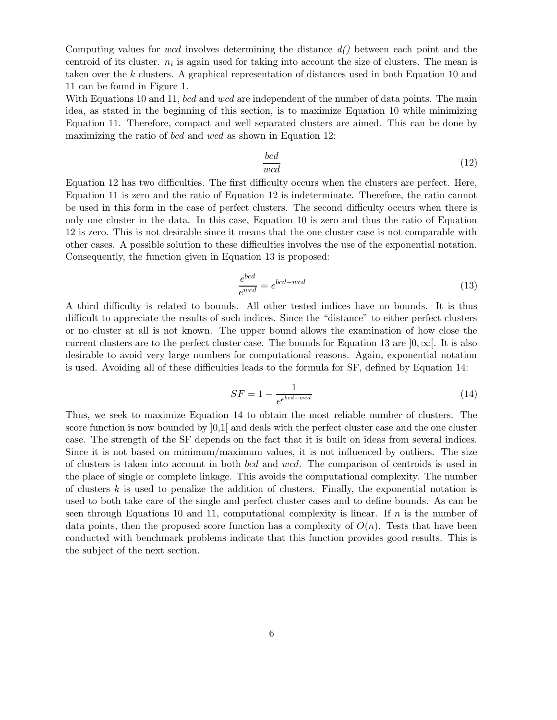Computing values for wcd involves determining the distance *d()* between each point and the centroid of its cluster.  $n_i$  is again used for taking into account the size of clusters. The mean is taken over the k clusters. A graphical representation of distances used in both Equation 10 and 11 can be found in Figure 1.

With Equations 10 and 11, bcd and wcd are independent of the number of data points. The main idea, as stated in the beginning of this section, is to maximize Equation 10 while minimizing Equation 11. Therefore, compact and well separated clusters are aimed. This can be done by maximizing the ratio of *bcd* and *wcd* as shown in Equation 12:

$$
\frac{bcd}{wcd} \tag{12}
$$

Equation 12 has two difficulties. The first difficulty occurs when the clusters are perfect. Here, Equation 11 is zero and the ratio of Equation 12 is indeterminate. Therefore, the ratio cannot be used in this form in the case of perfect clusters. The second difficulty occurs when there is only one cluster in the data. In this case, Equation 10 is zero and thus the ratio of Equation 12 is zero. This is not desirable since it means that the one cluster case is not comparable with other cases. A possible solution to these difficulties involves the use of the exponential notation. Consequently, the function given in Equation 13 is proposed:

$$
\frac{e^{bcd}}{e^{wcd}} = e^{bcd - wcd} \tag{13}
$$

A third difficulty is related to bounds. All other tested indices have no bounds. It is thus difficult to appreciate the results of such indices. Since the "distance" to either perfect clusters or no cluster at all is not known. The upper bound allows the examination of how close the current clusters are to the perfect cluster case. The bounds for Equation 13 are  $]0,\infty[$ . It is also desirable to avoid very large numbers for computational reasons. Again, exponential notation is used. Avoiding all of these difficulties leads to the formula for SF, defined by Equation 14:

$$
SF = 1 - \frac{1}{e^{e^{bcd - wcd}}} \tag{14}
$$

Thus, we seek to maximize Equation 14 to obtain the most reliable number of clusters. The score function is now bounded by  $[0,1]$  and deals with the perfect cluster case and the one cluster case. The strength of the SF depends on the fact that it is built on ideas from several indices. Since it is not based on minimum/maximum values, it is not influenced by outliers. The size of clusters is taken into account in both bcd and wcd. The comparison of centroids is used in the place of single or complete linkage. This avoids the computational complexity. The number of clusters  $k$  is used to penalize the addition of clusters. Finally, the exponential notation is used to both take care of the single and perfect cluster cases and to define bounds. As can be seen through Equations 10 and 11, computational complexity is linear. If  $n$  is the number of data points, then the proposed score function has a complexity of  $O(n)$ . Tests that have been conducted with benchmark problems indicate that this function provides good results. This is the subject of the next section.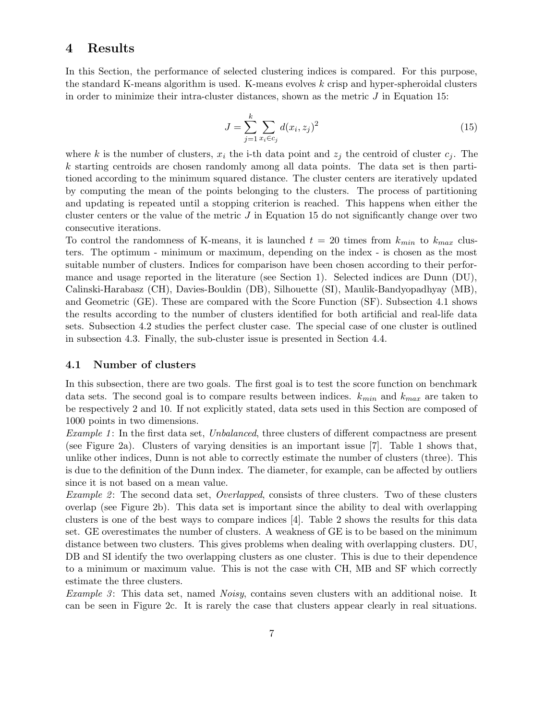### 4 Results

In this Section, the performance of selected clustering indices is compared. For this purpose, the standard K-means algorithm is used. K-means evolves  $k$  crisp and hyper-spheroidal clusters in order to minimize their intra-cluster distances, shown as the metric  $J$  in Equation 15:

$$
J = \sum_{j=1}^{k} \sum_{x_i \in c_j} d(x_i, z_j)^2
$$
 (15)

where k is the number of clusters,  $x_i$  the i-th data point and  $z_j$  the centroid of cluster  $c_j$ . The k starting centroids are chosen randomly among all data points. The data set is then partitioned according to the minimum squared distance. The cluster centers are iteratively updated by computing the mean of the points belonging to the clusters. The process of partitioning and updating is repeated until a stopping criterion is reached. This happens when either the cluster centers or the value of the metric  $J$  in Equation 15 do not significantly change over two consecutive iterations.

To control the randomness of K-means, it is launched  $t = 20$  times from  $k_{min}$  to  $k_{max}$  clusters. The optimum - minimum or maximum, depending on the index - is chosen as the most suitable number of clusters. Indices for comparison have been chosen according to their performance and usage reported in the literature (see Section 1). Selected indices are Dunn (DU), Calinski-Harabasz (CH), Davies-Bouldin (DB), Silhouette (SI), Maulik-Bandyopadhyay (MB), and Geometric (GE). These are compared with the Score Function (SF). Subsection 4.1 shows the results according to the number of clusters identified for both artificial and real-life data sets. Subsection 4.2 studies the perfect cluster case. The special case of one cluster is outlined in subsection 4.3. Finally, the sub-cluster issue is presented in Section 4.4.

#### 4.1 Number of clusters

In this subsection, there are two goals. The first goal is to test the score function on benchmark data sets. The second goal is to compare results between indices.  $k_{min}$  and  $k_{max}$  are taken to be respectively 2 and 10. If not explicitly stated, data sets used in this Section are composed of 1000 points in two dimensions.

*Example 1*: In the first data set, *Unbalanced*, three clusters of different compactness are present (see Figure 2a). Clusters of varying densities is an important issue [7]. Table 1 shows that, unlike other indices, Dunn is not able to correctly estimate the number of clusters (three). This is due to the definition of the Dunn index. The diameter, for example, can be affected by outliers since it is not based on a mean value.

*Example 2*: The second data set, *Overlapped*, consists of three clusters. Two of these clusters overlap (see Figure 2b). This data set is important since the ability to deal with overlapping clusters is one of the best ways to compare indices [4]. Table 2 shows the results for this data set. GE overestimates the number of clusters. A weakness of GE is to be based on the minimum distance between two clusters. This gives problems when dealing with overlapping clusters. DU, DB and SI identify the two overlapping clusters as one cluster. This is due to their dependence to a minimum or maximum value. This is not the case with CH, MB and SF which correctly estimate the three clusters.

*Example 3*: This data set, named *Noisy*, contains seven clusters with an additional noise. It can be seen in Figure 2c. It is rarely the case that clusters appear clearly in real situations.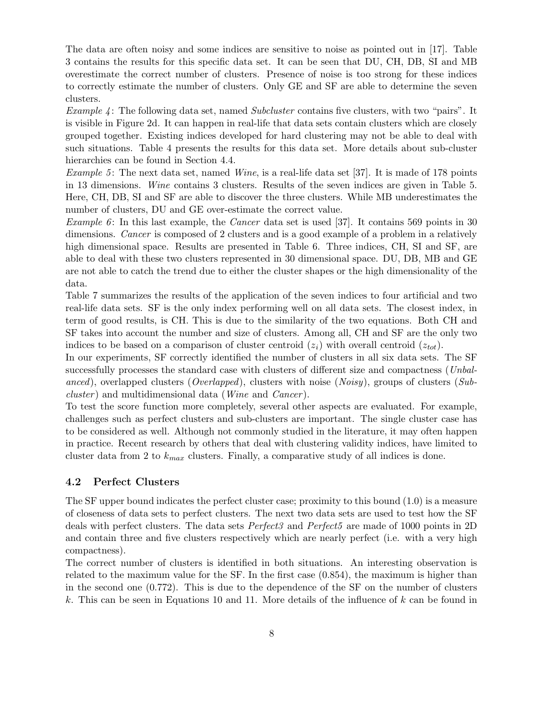The data are often noisy and some indices are sensitive to noise as pointed out in [17]. Table 3 contains the results for this specific data set. It can be seen that DU, CH, DB, SI and MB overestimate the correct number of clusters. Presence of noise is too strong for these indices to correctly estimate the number of clusters. Only GE and SF are able to determine the seven clusters.

*Example 4*: The following data set, named *Subcluster* contains five clusters, with two "pairs". It is visible in Figure 2d. It can happen in real-life that data sets contain clusters which are closely grouped together. Existing indices developed for hard clustering may not be able to deal with such situations. Table 4 presents the results for this data set. More details about sub-cluster hierarchies can be found in Section 4.4.

*Example 5*: The next data set, named *Wine*, is a real-life data set [37]. It is made of 178 points in 13 dimensions. *Wine* contains 3 clusters. Results of the seven indices are given in Table 5. Here, CH, DB, SI and SF are able to discover the three clusters. While MB underestimates the number of clusters, DU and GE over-estimate the correct value.

*Example 6*: In this last example, the *Cancer* data set is used [37]. It contains 569 points in 30 dimensions. *Cancer* is composed of 2 clusters and is a good example of a problem in a relatively high dimensional space. Results are presented in Table 6. Three indices, CH, SI and SF, are able to deal with these two clusters represented in 30 dimensional space. DU, DB, MB and GE are not able to catch the trend due to either the cluster shapes or the high dimensionality of the data.

Table 7 summarizes the results of the application of the seven indices to four artificial and two real-life data sets. SF is the only index performing well on all data sets. The closest index, in term of good results, is CH. This is due to the similarity of the two equations. Both CH and SF takes into account the number and size of clusters. Among all, CH and SF are the only two indices to be based on a comparison of cluster centroid  $(z<sub>i</sub>)$  with overall centroid  $(z<sub>tot</sub>)$ .

In our experiments, SF correctly identified the number of clusters in all six data sets. The SF successfully processes the standard case with clusters of different size and compactness (*Unbalanced*), overlapped clusters (*Overlapped*), clusters with noise (*Noisy*), groups of clusters (*Subcluster*) and multidimensional data (*Wine* and *Cancer*).

To test the score function more completely, several other aspects are evaluated. For example, challenges such as perfect clusters and sub-clusters are important. The single cluster case has to be considered as well. Although not commonly studied in the literature, it may often happen in practice. Recent research by others that deal with clustering validity indices, have limited to cluster data from 2 to  $k_{max}$  clusters. Finally, a comparative study of all indices is done.

#### 4.2 Perfect Clusters

The SF upper bound indicates the perfect cluster case; proximity to this bound (1.0) is a measure of closeness of data sets to perfect clusters. The next two data sets are used to test how the SF deals with perfect clusters. The data sets *Perfect3* and *Perfect5* are made of 1000 points in 2D and contain three and five clusters respectively which are nearly perfect (i.e. with a very high compactness).

The correct number of clusters is identified in both situations. An interesting observation is related to the maximum value for the SF. In the first case (0.854), the maximum is higher than in the second one (0.772). This is due to the dependence of the SF on the number of clusters k. This can be seen in Equations 10 and 11. More details of the influence of  $k$  can be found in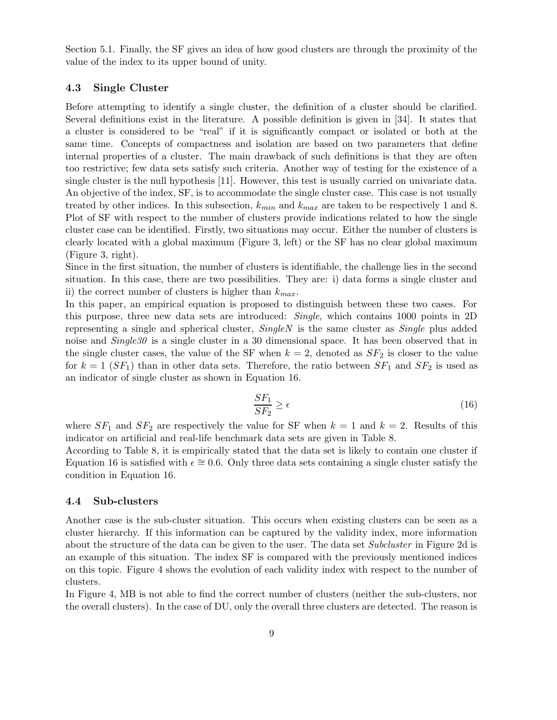Section 5.1. Finally, the SF gives an idea of how good clusters are through the proximity of the value of the index to its upper bound of unity.

#### 4.3 Single Cluster

Before attempting to identify a single cluster, the definition of a cluster should be clarified. Several definitions exist in the literature. A possible definition is given in [34]. It states that a cluster is considered to be "real" if it is significantly compact or isolated or both at the same time. Concepts of compactness and isolation are based on two parameters that define internal properties of a cluster. The main drawback of such definitions is that they are often too restrictive; few data sets satisfy such criteria. Another way of testing for the existence of a single cluster is the null hypothesis [11]. However, this test is usually carried on univariate data. An objective of the index, SF, is to accommodate the single cluster case. This case is not usually treated by other indices. In this subsection,  $k_{min}$  and  $k_{max}$  are taken to be respectively 1 and 8. Plot of SF with respect to the number of clusters provide indications related to how the single cluster case can be identified. Firstly, two situations may occur. Either the number of clusters is clearly located with a global maximum (Figure 3, left) or the SF has no clear global maximum (Figure 3, right).

Since in the first situation, the number of clusters is identifiable, the challenge lies in the second situation. In this case, there are two possibilities. They are: i) data forms a single cluster and ii) the correct number of clusters is higher than  $k_{max}$ .

In this paper, an empirical equation is proposed to distinguish between these two cases. For this purpose, three new data sets are introduced: *Single*, which contains 1000 points in 2D representing a single and spherical cluster, *SingleN* is the same cluster as *Single* plus added noise and *Single30* is a single cluster in a 30 dimensional space. It has been observed that in the single cluster cases, the value of the SF when  $k = 2$ , denoted as  $SF_2$  is closer to the value for  $k = 1$  (SF<sub>1</sub>) than in other data sets. Therefore, the ratio between  $SF_1$  and  $SF_2$  is used as an indicator of single cluster as shown in Equation 16.

$$
\frac{SF_1}{SF_2} \ge \epsilon \tag{16}
$$

where  $SF_1$  and  $SF_2$  are respectively the value for SF when  $k = 1$  and  $k = 2$ . Results of this indicator on artificial and real-life benchmark data sets are given in Table 8.

According to Table 8, it is empirically stated that the data set is likely to contain one cluster if Equation 16 is satisfied with  $\epsilon \approx 0.6$ . Only three data sets containing a single cluster satisfy the condition in Equation 16.

#### 4.4 Sub-clusters

Another case is the sub-cluster situation. This occurs when existing clusters can be seen as a cluster hierarchy. If this information can be captured by the validity index, more information about the structure of the data can be given to the user. The data set *Subcluster* in Figure 2d is an example of this situation. The index SF is compared with the previously mentioned indices on this topic. Figure 4 shows the evolution of each validity index with respect to the number of clusters.

In Figure 4, MB is not able to find the correct number of clusters (neither the sub-clusters, nor the overall clusters). In the case of DU, only the overall three clusters are detected. The reason is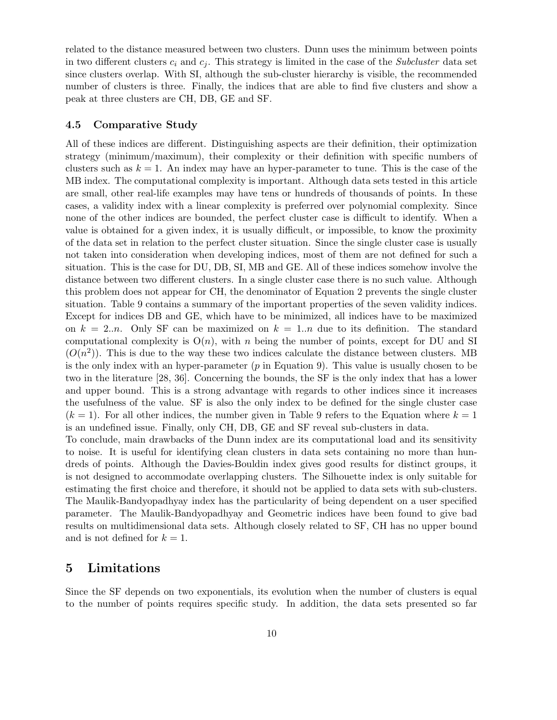related to the distance measured between two clusters. Dunn uses the minimum between points in two different clusters  $c_i$  and  $c_j$ . This strategy is limited in the case of the *Subcluster* data set since clusters overlap. With SI, although the sub-cluster hierarchy is visible, the recommended number of clusters is three. Finally, the indices that are able to find five clusters and show a peak at three clusters are CH, DB, GE and SF.

#### 4.5 Comparative Study

All of these indices are different. Distinguishing aspects are their definition, their optimization strategy (minimum/maximum), their complexity or their definition with specific numbers of clusters such as  $k = 1$ . An index may have an hyper-parameter to tune. This is the case of the MB index. The computational complexity is important. Although data sets tested in this article are small, other real-life examples may have tens or hundreds of thousands of points. In these cases, a validity index with a linear complexity is preferred over polynomial complexity. Since none of the other indices are bounded, the perfect cluster case is difficult to identify. When a value is obtained for a given index, it is usually difficult, or impossible, to know the proximity of the data set in relation to the perfect cluster situation. Since the single cluster case is usually not taken into consideration when developing indices, most of them are not defined for such a situation. This is the case for DU, DB, SI, MB and GE. All of these indices somehow involve the distance between two different clusters. In a single cluster case there is no such value. Although this problem does not appear for CH, the denominator of Equation 2 prevents the single cluster situation. Table 9 contains a summary of the important properties of the seven validity indices. Except for indices DB and GE, which have to be minimized, all indices have to be maximized on  $k = 2.n$ . Only SF can be maximized on  $k = 1..n$  due to its definition. The standard computational complexity is  $O(n)$ , with n being the number of points, except for DU and SI  $(O(n^2))$ . This is due to the way these two indices calculate the distance between clusters. MB is the only index with an hyper-parameter  $(p$  in Equation 9). This value is usually chosen to be two in the literature [28, 36]. Concerning the bounds, the SF is the only index that has a lower and upper bound. This is a strong advantage with regards to other indices since it increases the usefulness of the value. SF is also the only index to be defined for the single cluster case  $(k = 1)$ . For all other indices, the number given in Table 9 refers to the Equation where  $k = 1$ is an undefined issue. Finally, only CH, DB, GE and SF reveal sub-clusters in data. To conclude, main drawbacks of the Dunn index are its computational load and its sensitivity to noise. It is useful for identifying clean clusters in data sets containing no more than hun-

dreds of points. Although the Davies-Bouldin index gives good results for distinct groups, it is not designed to accommodate overlapping clusters. The Silhouette index is only suitable for estimating the first choice and therefore, it should not be applied to data sets with sub-clusters. The Maulik-Bandyopadhyay index has the particularity of being dependent on a user specified parameter. The Maulik-Bandyopadhyay and Geometric indices have been found to give bad results on multidimensional data sets. Although closely related to SF, CH has no upper bound and is not defined for  $k = 1$ .

## 5 Limitations

Since the SF depends on two exponentials, its evolution when the number of clusters is equal to the number of points requires specific study. In addition, the data sets presented so far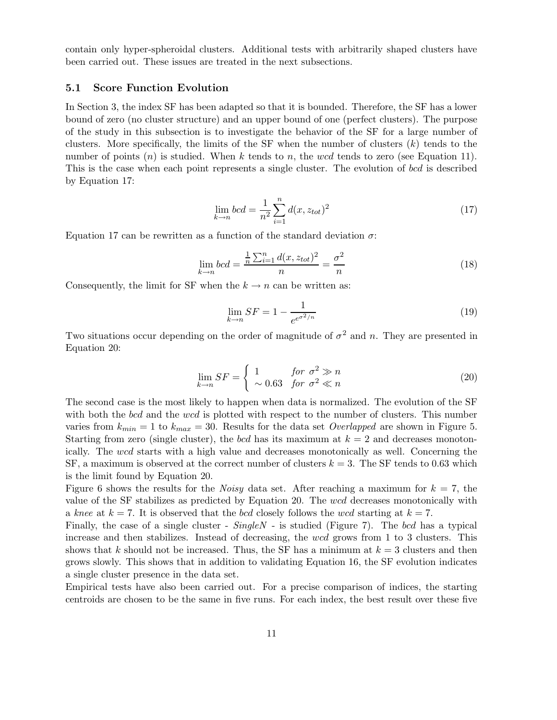contain only hyper-spheroidal clusters. Additional tests with arbitrarily shaped clusters have been carried out. These issues are treated in the next subsections.

#### 5.1 Score Function Evolution

In Section 3, the index SF has been adapted so that it is bounded. Therefore, the SF has a lower bound of zero (no cluster structure) and an upper bound of one (perfect clusters). The purpose of the study in this subsection is to investigate the behavior of the SF for a large number of clusters. More specifically, the limits of the SF when the number of clusters  $(k)$  tends to the number of points  $(n)$  is studied. When k tends to n, the wcd tends to zero (see Equation 11). This is the case when each point represents a single cluster. The evolution of bcd is described by Equation 17:

$$
\lim_{k \to n} bcd = \frac{1}{n^2} \sum_{i=1}^{n} d(x, z_{tot})^2
$$
\n(17)

Equation 17 can be rewritten as a function of the standard deviation  $\sigma$ :

$$
\lim_{k \to n} bcd = \frac{\frac{1}{n} \sum_{i=1}^{n} d(x, z_{tot})^2}{n} = \frac{\sigma^2}{n}
$$
\n(18)

Consequently, the limit for SF when the  $k \to n$  can be written as:

$$
\lim_{k \to n} SF = 1 - \frac{1}{e^{e^{\sigma^2/n}}} \tag{19}
$$

Two situations occur depending on the order of magnitude of  $\sigma^2$  and n. They are presented in Equation 20:

$$
\lim_{k \to n} SF = \begin{cases} 1 & \text{for } \sigma^2 \gg n \\ \sim 0.63 & \text{for } \sigma^2 \ll n \end{cases}
$$
 (20)

The second case is the most likely to happen when data is normalized. The evolution of the SF with both the bcd and the wcd is plotted with respect to the number of clusters. This number varies from  $k_{min} = 1$  to  $k_{max} = 30$ . Results for the data set *Overlapped* are shown in Figure 5. Starting from zero (single cluster), the bcd has its maximum at  $k = 2$  and decreases monotonically. The wcd starts with a high value and decreases monotonically as well. Concerning the SF, a maximum is observed at the correct number of clusters  $k = 3$ . The SF tends to 0.63 which is the limit found by Equation 20.

Figure 6 shows the results for the *Noisy* data set. After reaching a maximum for  $k = 7$ , the value of the SF stabilizes as predicted by Equation 20. The wcd decreases monotonically with a *knee* at  $k = 7$ . It is observed that the *bcd* closely follows the wcd starting at  $k = 7$ .

Finally, the case of a single cluster - *SingleN* - is studied (Figure 7). The bcd has a typical increase and then stabilizes. Instead of decreasing, the wcd grows from 1 to 3 clusters. This shows that k should not be increased. Thus, the SF has a minimum at  $k = 3$  clusters and then grows slowly. This shows that in addition to validating Equation 16, the SF evolution indicates a single cluster presence in the data set.

Empirical tests have also been carried out. For a precise comparison of indices, the starting centroids are chosen to be the same in five runs. For each index, the best result over these five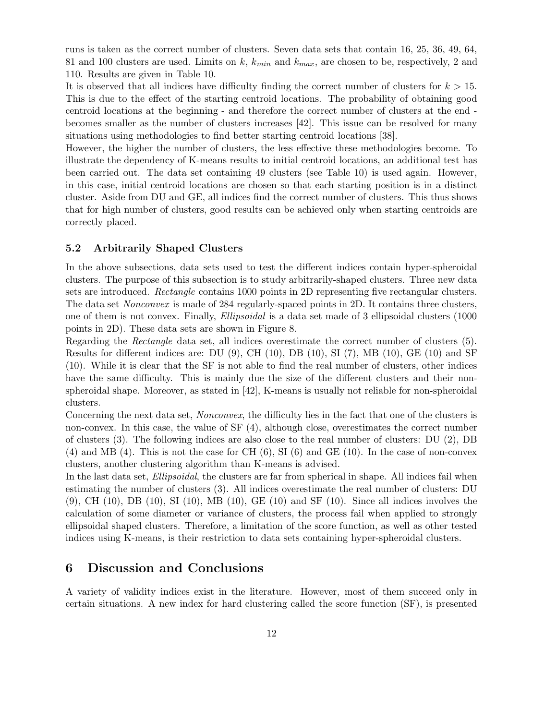runs is taken as the correct number of clusters. Seven data sets that contain 16, 25, 36, 49, 64, 81 and 100 clusters are used. Limits on k,  $k_{min}$  and  $k_{max}$ , are chosen to be, respectively, 2 and 110. Results are given in Table 10.

It is observed that all indices have difficulty finding the correct number of clusters for  $k > 15$ . This is due to the effect of the starting centroid locations. The probability of obtaining good centroid locations at the beginning - and therefore the correct number of clusters at the end becomes smaller as the number of clusters increases [42]. This issue can be resolved for many situations using methodologies to find better starting centroid locations [38].

However, the higher the number of clusters, the less effective these methodologies become. To illustrate the dependency of K-means results to initial centroid locations, an additional test has been carried out. The data set containing 49 clusters (see Table 10) is used again. However, in this case, initial centroid locations are chosen so that each starting position is in a distinct cluster. Aside from DU and GE, all indices find the correct number of clusters. This thus shows that for high number of clusters, good results can be achieved only when starting centroids are correctly placed.

#### 5.2 Arbitrarily Shaped Clusters

In the above subsections, data sets used to test the different indices contain hyper-spheroidal clusters. The purpose of this subsection is to study arbitrarily-shaped clusters. Three new data sets are introduced. *Rectangle* contains 1000 points in 2D representing five rectangular clusters. The data set *Nonconvex* is made of 284 regularly-spaced points in 2D. It contains three clusters, one of them is not convex. Finally, *Ellipsoidal* is a data set made of 3 ellipsoidal clusters (1000 points in 2D). These data sets are shown in Figure 8.

Regarding the *Rectangle* data set, all indices overestimate the correct number of clusters (5). Results for different indices are: DU (9), CH (10), DB (10), SI (7), MB (10), GE (10) and SF (10). While it is clear that the SF is not able to find the real number of clusters, other indices have the same difficulty. This is mainly due the size of the different clusters and their nonspheroidal shape. Moreover, as stated in [42], K-means is usually not reliable for non-spheroidal clusters.

Concerning the next data set, *Nonconvex*, the difficulty lies in the fact that one of the clusters is non-convex. In this case, the value of SF (4), although close, overestimates the correct number of clusters (3). The following indices are also close to the real number of clusters: DU (2), DB  $(4)$  and MB  $(4)$ . This is not the case for CH  $(6)$ , SI  $(6)$  and GE  $(10)$ . In the case of non-convex clusters, another clustering algorithm than K-means is advised.

In the last data set, *Ellipsoidal*, the clusters are far from spherical in shape. All indices fail when estimating the number of clusters (3). All indices overestimate the real number of clusters: DU  $(9)$ , CH  $(10)$ , DB  $(10)$ , SI  $(10)$ , MB  $(10)$ , GE  $(10)$  and SF  $(10)$ . Since all indices involves the calculation of some diameter or variance of clusters, the process fail when applied to strongly ellipsoidal shaped clusters. Therefore, a limitation of the score function, as well as other tested indices using K-means, is their restriction to data sets containing hyper-spheroidal clusters.

## 6 Discussion and Conclusions

A variety of validity indices exist in the literature. However, most of them succeed only in certain situations. A new index for hard clustering called the score function (SF), is presented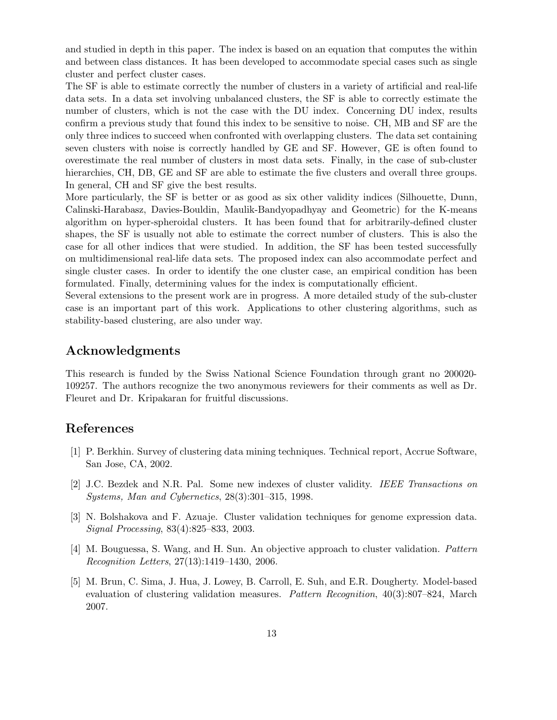and studied in depth in this paper. The index is based on an equation that computes the within and between class distances. It has been developed to accommodate special cases such as single cluster and perfect cluster cases.

The SF is able to estimate correctly the number of clusters in a variety of artificial and real-life data sets. In a data set involving unbalanced clusters, the SF is able to correctly estimate the number of clusters, which is not the case with the DU index. Concerning DU index, results confirm a previous study that found this index to be sensitive to noise. CH, MB and SF are the only three indices to succeed when confronted with overlapping clusters. The data set containing seven clusters with noise is correctly handled by GE and SF. However, GE is often found to overestimate the real number of clusters in most data sets. Finally, in the case of sub-cluster hierarchies, CH, DB, GE and SF are able to estimate the five clusters and overall three groups. In general, CH and SF give the best results.

More particularly, the SF is better or as good as six other validity indices (Silhouette, Dunn, Calinski-Harabasz, Davies-Bouldin, Maulik-Bandyopadhyay and Geometric) for the K-means algorithm on hyper-spheroidal clusters. It has been found that for arbitrarily-defined cluster shapes, the SF is usually not able to estimate the correct number of clusters. This is also the case for all other indices that were studied. In addition, the SF has been tested successfully on multidimensional real-life data sets. The proposed index can also accommodate perfect and single cluster cases. In order to identify the one cluster case, an empirical condition has been formulated. Finally, determining values for the index is computationally efficient.

Several extensions to the present work are in progress. A more detailed study of the sub-cluster case is an important part of this work. Applications to other clustering algorithms, such as stability-based clustering, are also under way.

## Acknowledgments

This research is funded by the Swiss National Science Foundation through grant no 200020- 109257. The authors recognize the two anonymous reviewers for their comments as well as Dr. Fleuret and Dr. Kripakaran for fruitful discussions.

## References

- [1] P. Berkhin. Survey of clustering data mining techniques. Technical report, Accrue Software, San Jose, CA, 2002.
- [2] J.C. Bezdek and N.R. Pal. Some new indexes of cluster validity. *IEEE Transactions on Systems, Man and Cybernetics*, 28(3):301–315, 1998.
- [3] N. Bolshakova and F. Azuaje. Cluster validation techniques for genome expression data. *Signal Processing*, 83(4):825–833, 2003.
- [4] M. Bouguessa, S. Wang, and H. Sun. An objective approach to cluster validation. *Pattern Recognition Letters*, 27(13):1419–1430, 2006.
- [5] M. Brun, C. Sima, J. Hua, J. Lowey, B. Carroll, E. Suh, and E.R. Dougherty. Model-based evaluation of clustering validation measures. *Pattern Recognition*, 40(3):807–824, March 2007.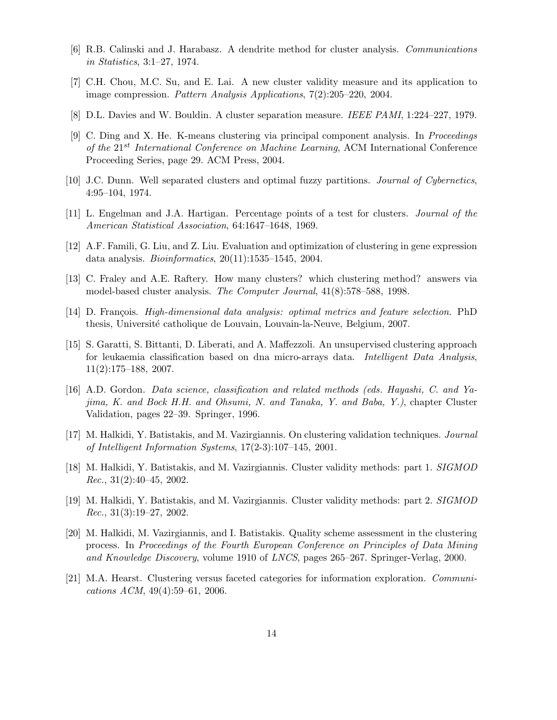- [6] R.B. Calinski and J. Harabasz. A dendrite method for cluster analysis. *Communications in Statistics*, 3:1–27, 1974.
- [7] C.H. Chou, M.C. Su, and E. Lai. A new cluster validity measure and its application to image compression. *Pattern Analysis Applications*, 7(2):205–220, 2004.
- [8] D.L. Davies and W. Bouldin. A cluster separation measure. *IEEE PAMI*, 1:224–227, 1979.
- [9] C. Ding and X. He. K-means clustering via principal component analysis. In *Proceedings of the* 21st *International Conference on Machine Learning*, ACM International Conference Proceeding Series, page 29. ACM Press, 2004.
- [10] J.C. Dunn. Well separated clusters and optimal fuzzy partitions. *Journal of Cybernetics*, 4:95–104, 1974.
- [11] L. Engelman and J.A. Hartigan. Percentage points of a test for clusters. *Journal of the American Statistical Association*, 64:1647–1648, 1969.
- [12] A.F. Famili, G. Liu, and Z. Liu. Evaluation and optimization of clustering in gene expression data analysis. *Bioinformatics*, 20(11):1535–1545, 2004.
- [13] C. Fraley and A.E. Raftery. How many clusters? which clustering method? answers via model-based cluster analysis. *The Computer Journal*, 41(8):578–588, 1998.
- [14] D. François. *High-dimensional data analysis: optimal metrics and feature selection*. PhD thesis, Université catholique de Louvain, Louvain-la-Neuve, Belgium, 2007.
- [15] S. Garatti, S. Bittanti, D. Liberati, and A. Maffezzoli. An unsupervised clustering approach for leukaemia classification based on dna micro-arrays data. *Intelligent Data Analysis*, 11(2):175–188, 2007.
- [16] A.D. Gordon. *Data science, classification and related methods (eds. Hayashi, C. and Yajima, K. and Bock H.H. and Ohsumi, N. and Tanaka, Y. and Baba, Y.)*, chapter Cluster Validation, pages 22–39. Springer, 1996.
- [17] M. Halkidi, Y. Batistakis, and M. Vazirgiannis. On clustering validation techniques. *Journal of Intelligent Information Systems*, 17(2-3):107–145, 2001.
- [18] M. Halkidi, Y. Batistakis, and M. Vazirgiannis. Cluster validity methods: part 1. *SIGMOD Rec.*, 31(2):40–45, 2002.
- [19] M. Halkidi, Y. Batistakis, and M. Vazirgiannis. Cluster validity methods: part 2. *SIGMOD Rec.*, 31(3):19–27, 2002.
- [20] M. Halkidi, M. Vazirgiannis, and I. Batistakis. Quality scheme assessment in the clustering process. In *Proceedings of the Fourth European Conference on Principles of Data Mining and Knowledge Discovery*, volume 1910 of *LNCS*, pages 265–267. Springer-Verlag, 2000.
- [21] M.A. Hearst. Clustering versus faceted categories for information exploration. *Communications ACM*, 49(4):59–61, 2006.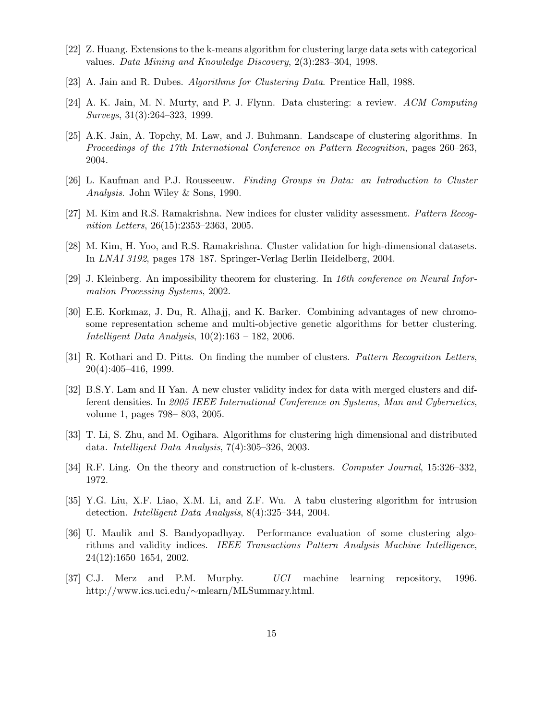- [22] Z. Huang. Extensions to the k-means algorithm for clustering large data sets with categorical values. *Data Mining and Knowledge Discovery*, 2(3):283–304, 1998.
- [23] A. Jain and R. Dubes. *Algorithms for Clustering Data*. Prentice Hall, 1988.
- [24] A. K. Jain, M. N. Murty, and P. J. Flynn. Data clustering: a review. *ACM Computing Surveys*, 31(3):264–323, 1999.
- [25] A.K. Jain, A. Topchy, M. Law, and J. Buhmann. Landscape of clustering algorithms. In *Proceedings of the 17th International Conference on Pattern Recognition*, pages 260–263, 2004.
- [26] L. Kaufman and P.J. Rousseeuw. *Finding Groups in Data: an Introduction to Cluster Analysis*. John Wiley & Sons, 1990.
- [27] M. Kim and R.S. Ramakrishna. New indices for cluster validity assessment. *Pattern Recognition Letters*, 26(15):2353–2363, 2005.
- [28] M. Kim, H. Yoo, and R.S. Ramakrishna. Cluster validation for high-dimensional datasets. In *LNAI 3192*, pages 178–187. Springer-Verlag Berlin Heidelberg, 2004.
- [29] J. Kleinberg. An impossibility theorem for clustering. In *16th conference on Neural Information Processing Systems*, 2002.
- [30] E.E. Korkmaz, J. Du, R. Alhajj, and K. Barker. Combining advantages of new chromosome representation scheme and multi-objective genetic algorithms for better clustering. *Intelligent Data Analysis*, 10(2):163 – 182, 2006.
- [31] R. Kothari and D. Pitts. On finding the number of clusters. *Pattern Recognition Letters*, 20(4):405–416, 1999.
- [32] B.S.Y. Lam and H Yan. A new cluster validity index for data with merged clusters and different densities. In *2005 IEEE International Conference on Systems, Man and Cybernetics*, volume 1, pages 798– 803, 2005.
- [33] T. Li, S. Zhu, and M. Ogihara. Algorithms for clustering high dimensional and distributed data. *Intelligent Data Analysis*, 7(4):305–326, 2003.
- [34] R.F. Ling. On the theory and construction of k-clusters. *Computer Journal*, 15:326–332, 1972.
- [35] Y.G. Liu, X.F. Liao, X.M. Li, and Z.F. Wu. A tabu clustering algorithm for intrusion detection. *Intelligent Data Analysis*, 8(4):325–344, 2004.
- [36] U. Maulik and S. Bandyopadhyay. Performance evaluation of some clustering algorithms and validity indices. *IEEE Transactions Pattern Analysis Machine Intelligence*, 24(12):1650–1654, 2002.
- [37] C.J. Merz and P.M. Murphy. *UCI* machine learning repository, 1996. http://www.ics.uci.edu/∼mlearn/MLSummary.html.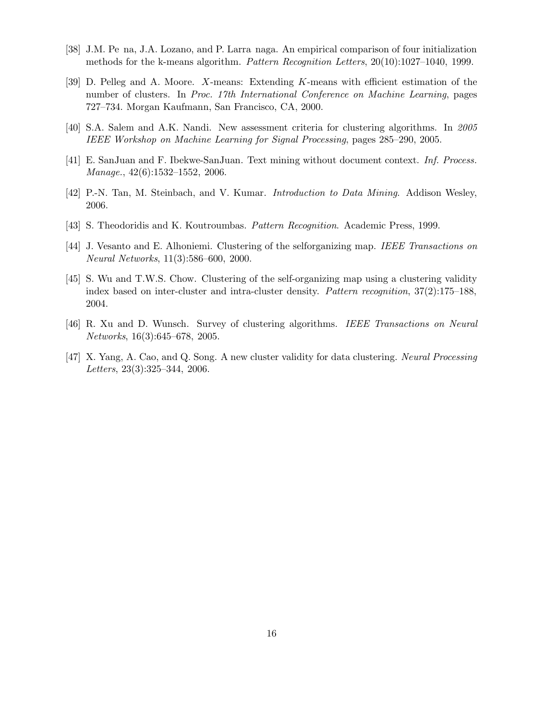- [38] J.M. Pe na, J.A. Lozano, and P. Larra naga. An empirical comparison of four initialization methods for the k-means algorithm. *Pattern Recognition Letters*, 20(10):1027–1040, 1999.
- [39] D. Pelleg and A. Moore. X-means: Extending K-means with efficient estimation of the number of clusters. In *Proc. 17th International Conference on Machine Learning*, pages 727–734. Morgan Kaufmann, San Francisco, CA, 2000.
- [40] S.A. Salem and A.K. Nandi. New assessment criteria for clustering algorithms. In *2005 IEEE Workshop on Machine Learning for Signal Processing*, pages 285–290, 2005.
- [41] E. SanJuan and F. Ibekwe-SanJuan. Text mining without document context. *Inf. Process. Manage.*, 42(6):1532–1552, 2006.
- [42] P.-N. Tan, M. Steinbach, and V. Kumar. *Introduction to Data Mining*. Addison Wesley, 2006.
- [43] S. Theodoridis and K. Koutroumbas. *Pattern Recognition*. Academic Press, 1999.
- [44] J. Vesanto and E. Alhoniemi. Clustering of the selforganizing map. *IEEE Transactions on Neural Networks*, 11(3):586–600, 2000.
- [45] S. Wu and T.W.S. Chow. Clustering of the self-organizing map using a clustering validity index based on inter-cluster and intra-cluster density. *Pattern recognition*, 37(2):175–188, 2004.
- [46] R. Xu and D. Wunsch. Survey of clustering algorithms. *IEEE Transactions on Neural Networks*, 16(3):645–678, 2005.
- [47] X. Yang, A. Cao, and Q. Song. A new cluster validity for data clustering. *Neural Processing Letters*, 23(3):325–344, 2006.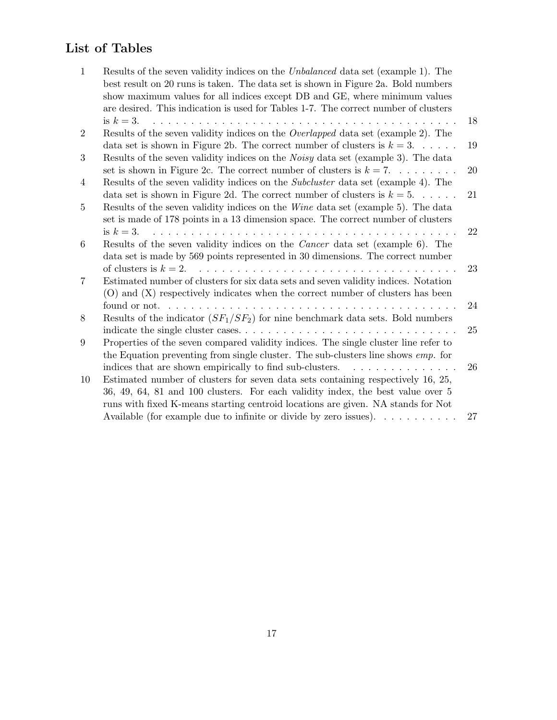## List of Tables

| 1                | Results of the seven validity indices on the <i>Unbalanced</i> data set (example 1). The<br>best result on 20 runs is taken. The data set is shown in Figure 2a. Bold numbers<br>show maximum values for all indices except DB and GE, where minimum values |    |
|------------------|-------------------------------------------------------------------------------------------------------------------------------------------------------------------------------------------------------------------------------------------------------------|----|
|                  | are desired. This indication is used for Tables 1-7. The correct number of clusters                                                                                                                                                                         |    |
|                  | is $k=3$ .                                                                                                                                                                                                                                                  | 18 |
| $\boldsymbol{2}$ | Results of the seven validity indices on the <i>Overlapped</i> data set (example 2). The<br>data set is shown in Figure 2b. The correct number of clusters is $k = 3$                                                                                       | 19 |
| 3                | Results of the seven validity indices on the <i>Noisy</i> data set (example 3). The data                                                                                                                                                                    |    |
|                  | set is shown in Figure 2c. The correct number of clusters is $k = 7$                                                                                                                                                                                        | 20 |
| $\overline{4}$   | Results of the seven validity indices on the <i>Subcluster</i> data set (example 4). The                                                                                                                                                                    |    |
|                  | data set is shown in Figure 2d. The correct number of clusters is $k = 5$                                                                                                                                                                                   | 21 |
| 5                | Results of the seven validity indices on the Wine data set (example 5). The data                                                                                                                                                                            |    |
|                  | set is made of 178 points in a 13 dimension space. The correct number of clusters                                                                                                                                                                           |    |
| 6                | is $k=3$ .<br>Results of the seven validity indices on the <i>Cancer</i> data set (example 6). The                                                                                                                                                          | 22 |
|                  | data set is made by 569 points represented in 30 dimensions. The correct number                                                                                                                                                                             |    |
|                  |                                                                                                                                                                                                                                                             | 23 |
| 7                | Estimated number of clusters for six data sets and seven validity indices. Notation                                                                                                                                                                         |    |
|                  | (O) and (X) respectively indicates when the correct number of clusters has been                                                                                                                                                                             |    |
|                  | found or not. $\ldots \ldots \ldots \ldots \ldots \ldots \ldots \ldots \ldots \ldots$                                                                                                                                                                       | 24 |
| 8                | Results of the indicator $(SF_1/SF_2)$ for nine benchmark data sets. Bold numbers                                                                                                                                                                           |    |
|                  |                                                                                                                                                                                                                                                             | 25 |
| 9                | Properties of the seven compared validity indices. The single cluster line refer to<br>the Equation preventing from single cluster. The sub-clusters line shows <i>emp</i> . for                                                                            |    |
|                  | indices that are shown empirically to find sub-clusters.<br>.                                                                                                                                                                                               | 26 |
| 10               | Estimated number of clusters for seven data sets containing respectively 16, 25,                                                                                                                                                                            |    |
|                  | 36, 49, 64, 81 and 100 clusters. For each validity index, the best value over 5                                                                                                                                                                             |    |
|                  | runs with fixed K-means starting centroid locations are given. NA stands for Not                                                                                                                                                                            |    |
|                  | Available (for example due to infinite or divide by zero issues). $\dots \dots \dots$                                                                                                                                                                       | 27 |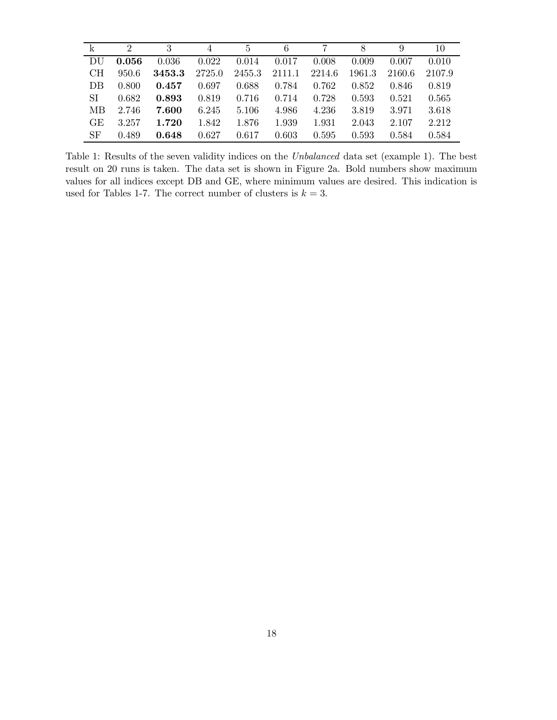| $\mathbf{k}$ | $\mathcal{D}_{\mathcal{L}}$ |        | $\overline{4}$ | 5      | 6      |        | 8      |        | 10     |
|--------------|-----------------------------|--------|----------------|--------|--------|--------|--------|--------|--------|
| DU           | 0.056                       | 0.036  | 0.022          | 0.014  | 0.017  | 0.008  | 0.009  | 0.007  | 0.010  |
| <b>CH</b>    | 950.6                       | 3453.3 | 2725.0         | 2455.3 | 2111.1 | 2214.6 | 1961.3 | 2160.6 | 2107.9 |
| DB           | 0.800                       | 0.457  | 0.697          | 0.688  | 0.784  | 0.762  | 0.852  | 0.846  | 0.819  |
| SI           | 0.682                       | 0.893  | 0.819          | 0.716  | 0.714  | 0.728  | 0.593  | 0.521  | 0.565  |
| МB           | 2.746                       | 7.600  | 6.245          | 5.106  | 4.986  | 4.236  | 3.819  | 3.971  | 3.618  |
| GE           | 3.257                       | 1.720  | 1.842          | 1.876  | 1.939  | 1.931  | 2.043  | 2.107  | 2.212  |
| SF           | 0.489                       | 0.648  | 0.627          | 0.617  | 0.603  | 0.595  | 0.593  | 0.584  | 0.584  |

Table 1: Results of the seven validity indices on the *Unbalanced* data set (example 1). The best result on 20 runs is taken. The data set is shown in Figure 2a. Bold numbers show maximum values for all indices except DB and GE, where minimum values are desired. This indication is used for Tables 1-7. The correct number of clusters is  $k = 3$ .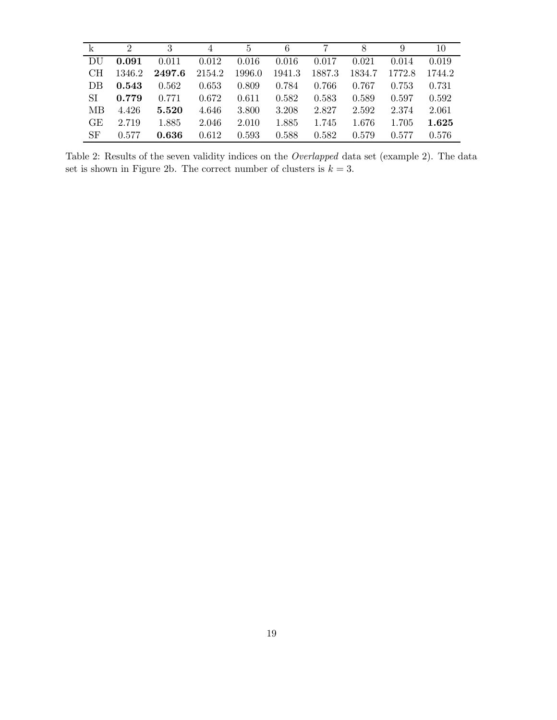|           | $\mathcal{D}$ | 3      | 4      | $\overline{5}$ | 6      |        | 8      | 9      | 10     |
|-----------|---------------|--------|--------|----------------|--------|--------|--------|--------|--------|
| DU        | 0.091         | 0.011  | 0.012  | 0.016          | 0.016  | 0.017  | 0.021  | 0.014  | 0.019  |
| CН        | 1346.2        | 2497.6 | 2154.2 | 1996.0         | 1941.3 | 1887.3 | 1834.7 | 1772.8 | 1744.2 |
| DB        | 0.543         | 0.562  | 0.653  | 0.809          | 0.784  | 0.766  | 0.767  | 0.753  | 0.731  |
| <b>SI</b> | 0.779         | 0.771  | 0.672  | 0.611          | 0.582  | 0.583  | 0.589  | 0.597  | 0.592  |
| МB        | 4.426         | 5.520  | 4.646  | 3.800          | 3.208  | 2.827  | 2.592  | 2.374  | 2.061  |
| GE        | 2.719         | 1.885  | 2.046  | 2.010          | 1.885  | 1.745  | 1.676  | 1.705  | 1.625  |
| SF        | 0.577         | 0.636  | 0.612  | 0.593          | 0.588  | 0.582  | 0.579  | 0.577  | 0.576  |

Table 2: Results of the seven validity indices on the *Overlapped* data set (example 2). The data set is shown in Figure 2b. The correct number of clusters is  $k = 3$ .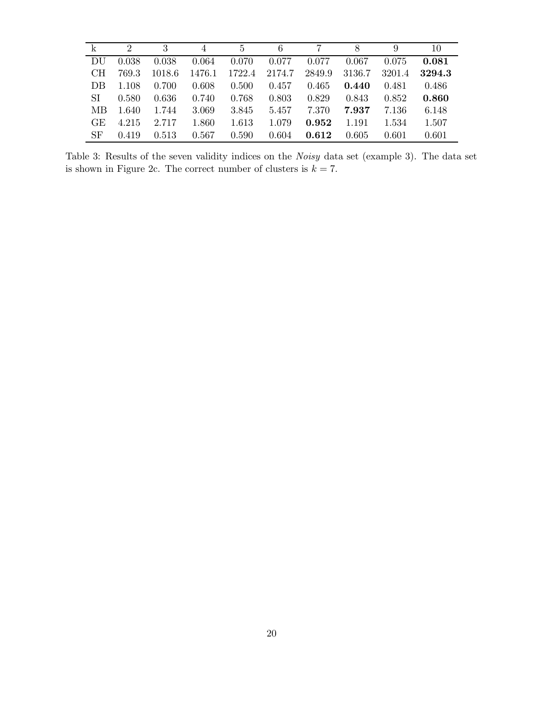| $\mathbf{k}$ | $\mathcal{D}_{\mathcal{L}}$ | 3      | 4      | 5      | 6      |        | 8      | 9      | 10     |
|--------------|-----------------------------|--------|--------|--------|--------|--------|--------|--------|--------|
| DU           | 0.038                       | 0.038  | 0.064  | 0.070  | 0.077  | 0.077  | 0.067  | 0.075  | 0.081  |
| CН           | 769.3                       | 1018.6 | 1476.1 | 1722.4 | 2174.7 | 2849.9 | 3136.7 | 3201.4 | 3294.3 |
| DB           | 1.108                       | 0.700  | 0.608  | 0.500  | 0.457  | 0.465  | 0.440  | 0.481  | 0.486  |
| SI           | 0.580                       | 0.636  | 0.740  | 0.768  | 0.803  | 0.829  | 0.843  | 0.852  | 0.860  |
| МB           | 1.640                       | 1.744  | 3.069  | 3.845  | 5.457  | 7.370  | 7.937  | 7.136  | 6.148  |
| GE           | 4.215                       | 2.717  | 1.860  | 1.613  | 1.079  | 0.952  | 1.191  | 1.534  | 1.507  |
| SF           | 0.419                       | 0.513  | 0.567  | 0.590  | 0.604  | 0.612  | 0.605  | 0.601  | 0.601  |

Table 3: Results of the seven validity indices on the *Noisy* data set (example 3). The data set is shown in Figure 2c. The correct number of clusters is  $k = 7$ .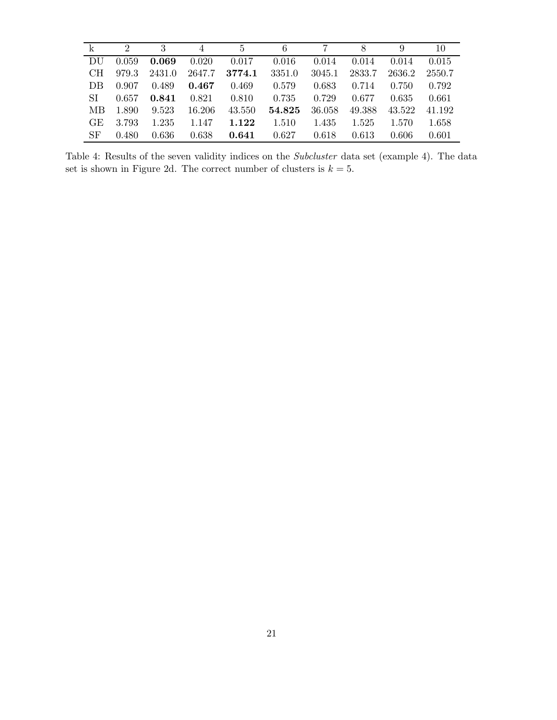| $\mathbf{k}$ | $\mathcal{D}$ | 3      | 4      | 5      | 6      |        | 8      | 9      | 10     |
|--------------|---------------|--------|--------|--------|--------|--------|--------|--------|--------|
| DU           | 0.059         | 0.069  | 0.020  | 0.017  | 0.016  | 0.014  | 0.014  | 0.014  | 0.015  |
| CH.          | 979.3         | 2431.0 | 2647.7 | 3774.1 | 3351.0 | 3045.1 | 2833.7 | 2636.2 | 2550.7 |
| DB           | 0.907         | 0.489  | 0.467  | 0.469  | 0.579  | 0.683  | 0.714  | 0.750  | 0.792  |
| SI           | 0.657         | 0.841  | 0.821  | 0.810  | 0.735  | 0.729  | 0.677  | 0.635  | 0.661  |
| МB           | 1.890         | 9.523  | 16.206 | 43.550 | 54.825 | 36.058 | 49.388 | 43.522 | 41.192 |
| GE           | 3.793         | 1.235  | 1.147  | 1.122  | 1.510  | 1.435  | 1.525  | 1.570  | 1.658  |
| SF           | 0.480         | 0.636  | 0.638  | 0.641  | 0.627  | 0.618  | 0.613  | 0.606  | 0.601  |

Table 4: Results of the seven validity indices on the *Subcluster* data set (example 4). The data set is shown in Figure 2d. The correct number of clusters is  $k = 5$ .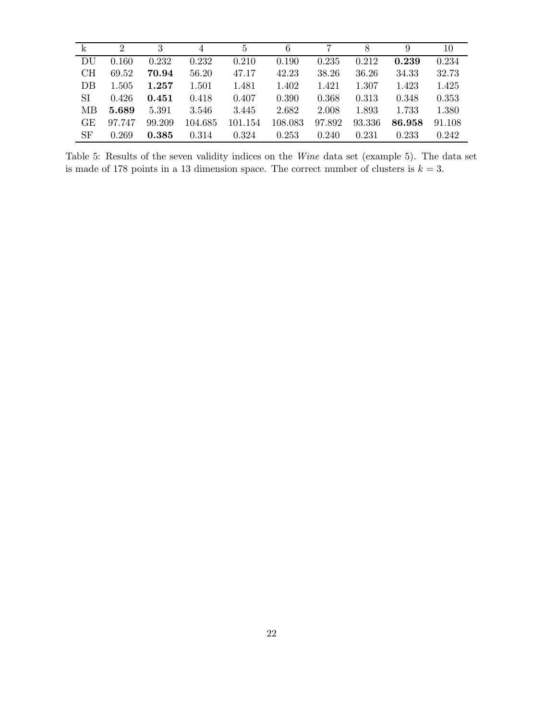| k         | $\mathcal{D}_{\mathcal{L}}$ | 3      | 4       | 5       | 6       |        | 8      | 9      | 10     |
|-----------|-----------------------------|--------|---------|---------|---------|--------|--------|--------|--------|
| DU        | 0.160                       | 0.232  | 0.232   | 0.210   | 0.190   | 0.235  | 0.212  | 0.239  | 0.234  |
| CH        | 69.52                       | 70.94  | 56.20   | 47.17   | 42.23   | 38.26  | 36.26  | 34.33  | 32.73  |
| DB        | 1.505                       | 1.257  | 1.501   | 1.481   | 1.402   | 1.421  | 1.307  | 1.423  | 1.425  |
| SI        | 0.426                       | 0.451  | 0.418   | 0.407   | 0.390   | 0.368  | 0.313  | 0.348  | 0.353  |
| МB        | 5.689                       | 5.391  | 3.546   | 3.445   | 2.682   | 2.008  | 1.893  | 1.733  | 1.380  |
| <b>GE</b> | 97.747                      | 99.209 | 104.685 | 101.154 | 108.083 | 97.892 | 93.336 | 86.958 | 91.108 |
| <b>SF</b> | 0.269                       | 0.385  | 0.314   | 0.324   | 0.253   | 0.240  | 0.231  | 0.233  | 0.242  |

Table 5: Results of the seven validity indices on the *Wine* data set (example 5). The data set is made of 178 points in a 13 dimension space. The correct number of clusters is  $k = 3$ .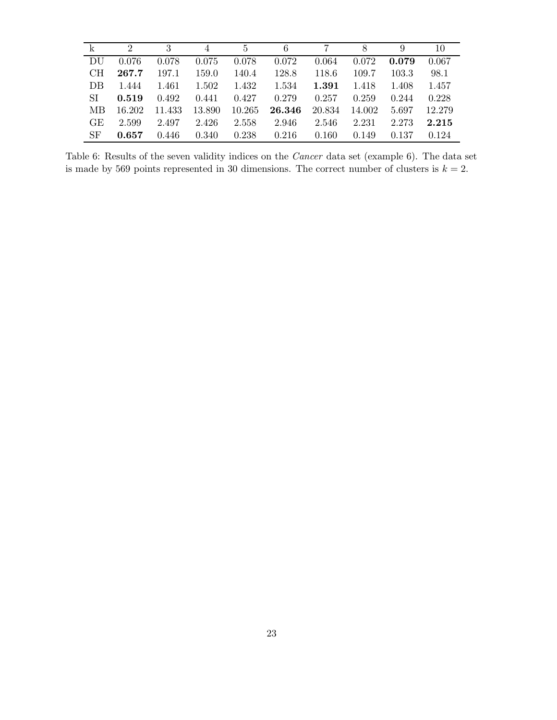| $\mathbf{k}$ | $\mathcal{D}$ | 3      | 4      | 5      | 6      |        | 8      | 9     | 10     |
|--------------|---------------|--------|--------|--------|--------|--------|--------|-------|--------|
| - DU         | 0.076         | 0.078  | 0.075  | 0.078  | 0.072  | 0.064  | 0.072  | 0.079 | 0.067  |
| CH.          | 267.7         | 197.1  | 159.0  | 140.4  | 128.8  | 118.6  | 109.7  | 103.3 | 98.1   |
| DB           | 1.444         | 1.461  | 1.502  | 1.432  | 1.534  | 1.391  | 1.418  | 1.408 | 1.457  |
| SI           | 0.519         | 0.492  | 0.441  | 0.427  | 0.279  | 0.257  | 0.259  | 0.244 | 0.228  |
| MВ           | 16.202        | 11.433 | 13.890 | 10.265 | 26.346 | 20.834 | 14.002 | 5.697 | 12.279 |
| GE           | 2.599         | 2.497  | 2.426  | 2.558  | 2.946  | 2.546  | 2.231  | 2.273 | 2.215  |
| SF           | 0.657         | 0.446  | 0.340  | 0.238  | 0.216  | 0.160  | 0.149  | 0.137 | 0.124  |

Table 6: Results of the seven validity indices on the *Cancer* data set (example 6). The data set is made by 569 points represented in 30 dimensions. The correct number of clusters is  $k = 2$ .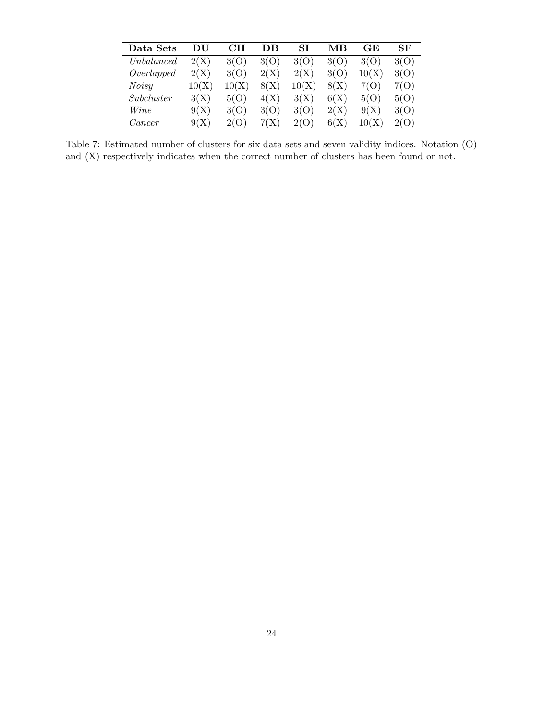| Data Sets  | DU    | CН    | DВ   | SI    | MВ   | <b>GE</b> | SF   |
|------------|-------|-------|------|-------|------|-----------|------|
| Unbalanced | 2(X)  | 3(O)  | 3(O) | 3(O)  | 3(O) | 3(O)      | 3(O) |
| Overlapped | 2(X)  | 3(O)  | 2(X) | 2(X)  | 3(O) | 10(X)     | 3(O) |
| Noisy      | 10(X) | 10(X) | 8(X) | 10(X) | 8(X) | 7(O)      | 7(O) |
| Subcluster | 3(X)  | 5(O)  | 4(X) | 3(X)  | 6(X) | 5(O)      | 5(O) |
| Wine       | 9(X)  | 3(O)  | 3(O) | 3(O)  | 2(X) | 9(X)      | 3(O) |
| Cancer     | 9(X)  | 2(O)  | 7(X) | 2(O)  | 6(X) | 10(X)     | 2(O) |

Table 7: Estimated number of clusters for six data sets and seven validity indices. Notation (O) and (X) respectively indicates when the correct number of clusters has been found or not.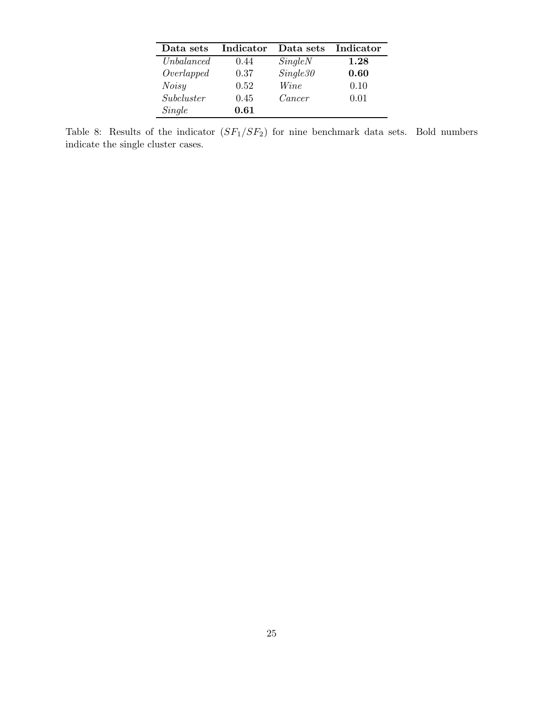| Data sets         | Indicator | Data sets | Indicator |
|-------------------|-----------|-----------|-----------|
| <i>Unbalanced</i> | 0.44      | SingleN   | 1.28      |
| Overlapped        | 0.37      | Single30  | 0.60      |
| <b>Noisy</b>      | 0.52      | Wine      | 0.10      |
| Subcluster        | 0.45      | Cancer    | 0.01      |
| Single            | 0.61      |           |           |

Table 8: Results of the indicator  $(SF_1/SF_2)$  for nine benchmark data sets. Bold numbers indicate the single cluster cases.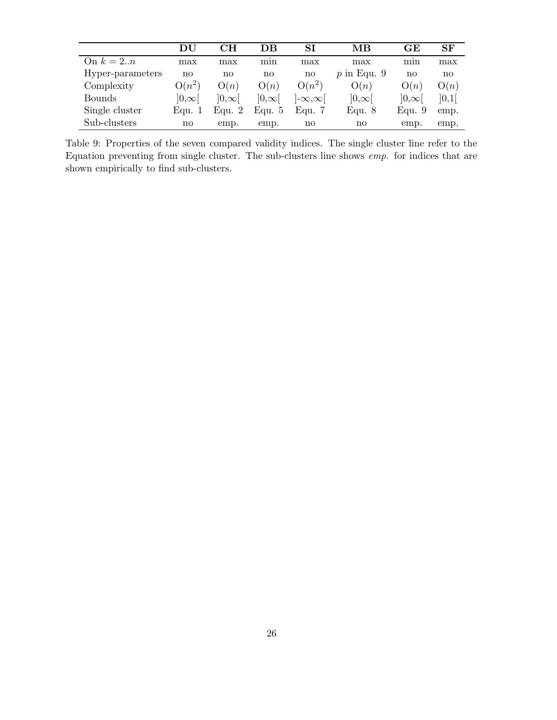|                  | DU           | CН           | DВ           | SI                | MВ            | GЕ                     | SF    |
|------------------|--------------|--------------|--------------|-------------------|---------------|------------------------|-------|
| On $k=2n$        | max          | max          | mın          | max               | max           | mın                    | max   |
| Hyper-parameters | no           | no           | no           | no                | $p$ in Equ. 9 | $\mathbf{n}\mathbf{o}$ | no    |
| Complexity       | $O(n^2)$     | O(n)         | O(n)         | $O(n^2)$          | O(n)          | O(n)                   | O(n)  |
| <b>Bounds</b>    | $ 0,\infty $ | $ 0,\infty $ | $ 0,\infty $ | $ \infty,\infty $ | $]0,\infty[$  | $ 0,\infty $           | ]0,1[ |
| Single cluster   | Equ. 1       | Equ. $2$     | Equ. 5       | Equ. $7$          | Equ. $8$      | Equ. $9$               | emp.  |
| Sub-clusters     | no           | emp.         | emp.         | no                | no            | emp.                   | emp.  |

Table 9: Properties of the seven compared validity indices. The single cluster line refer to the Equation preventing from single cluster. The sub-clusters line shows *emp.* for indices that are shown empirically to find sub-clusters.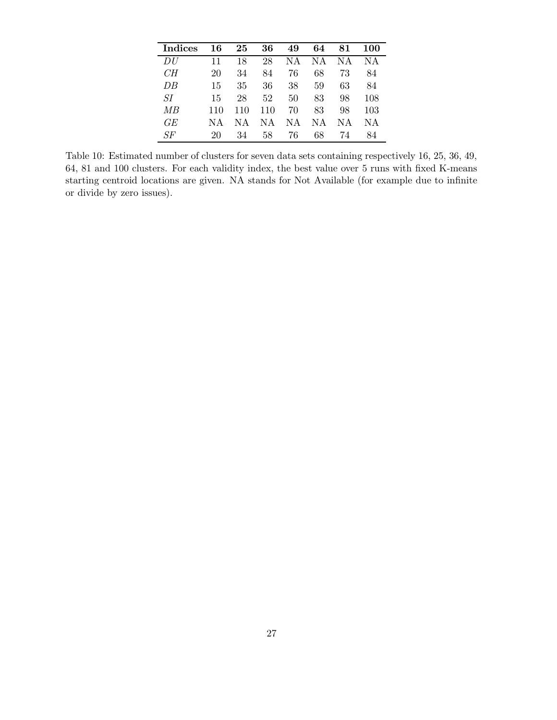| Indices             | 16  | 25  | 36  | 49 | 64 | 81 | 100 |
|---------------------|-----|-----|-----|----|----|----|-----|
| DU                  | 11  | 18  | 28  | ΝA | ΝA | ΝA | NА  |
| CH                  | 20  | 34  | 84  | 76 | 68 | 73 | 84  |
| DB                  | 15  | 35  | 36  | 38 | 59 | 63 | 84  |
| SІ                  | 15  | 28  | 52  | 50 | 83 | 98 | 108 |
| MB                  | 110 | 110 | 110 | 70 | 83 | 98 | 103 |
| GE                  | NΑ  | NΑ  | ΝA  | ΝA | ΝA | ΝA | ΝA  |
| $S\hspace{-0.1cm}F$ | 20  | 34  | 58  | 76 | 68 | 74 | 84  |

Table 10: Estimated number of clusters for seven data sets containing respectively 16, 25, 36, 49, 64, 81 and 100 clusters. For each validity index, the best value over 5 runs with fixed K-means starting centroid locations are given. NA stands for Not Available (for example due to infinite or divide by zero issues).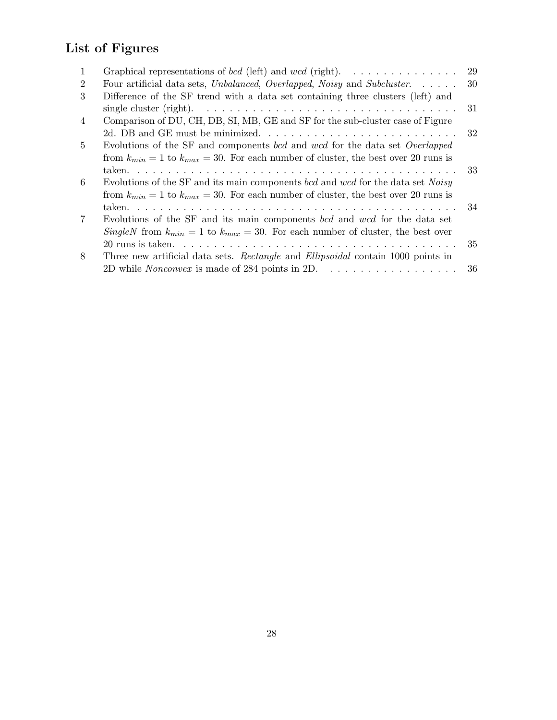# List of Figures

| $\mathbf{1}$   | Graphical representations of <i>bcd</i> (left) and <i>wcd</i> (right).                                        | 29   |
|----------------|---------------------------------------------------------------------------------------------------------------|------|
| $\overline{2}$ | Four artificial data sets, Unbalanced, Overlapped, Noisy and Subcluster.                                      | - 30 |
| 3              | Difference of the SF trend with a data set containing three clusters (left) and                               |      |
|                | single cluster (right). $\ldots \ldots \ldots \ldots \ldots \ldots \ldots \ldots \ldots \ldots \ldots \ldots$ | -31  |
| 4              | Comparison of DU, CH, DB, SI, MB, GE and SF for the sub-cluster case of Figure                                |      |
|                | 2d. DB and GE must be minimized                                                                               | -32  |
| 5              | Evolutions of the SF and components bcd and wcd for the data set Overlapped                                   |      |
|                | from $k_{min} = 1$ to $k_{max} = 30$ . For each number of cluster, the best over 20 runs is                   |      |
|                |                                                                                                               |      |
| 6              | Evolutions of the SF and its main components bcd and wcd for the data set Noisy                               |      |
|                | from $k_{min} = 1$ to $k_{max} = 30$ . For each number of cluster, the best over 20 runs is                   |      |
|                |                                                                                                               |      |
| $\overline{7}$ | Evolutions of the SF and its main components bcd and wcd for the data set                                     |      |
|                | SingleN from $k_{min} = 1$ to $k_{max} = 30$ . For each number of cluster, the best over                      |      |
|                |                                                                                                               |      |
| 8              | Three new artificial data sets. Rectangle and Ellipsoidal contain 1000 points in                              |      |
|                | 2D while <i>Nonconvex</i> is made of 284 points in 2D. $\dots \dots \dots \dots \dots \dots \dots$ 36         |      |
|                |                                                                                                               |      |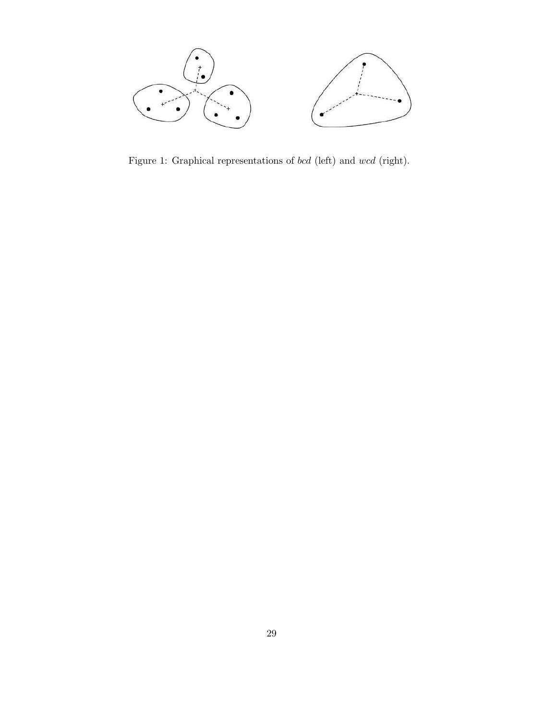

Figure 1: Graphical representations of *bcd* (left) and  $wcd$  (right).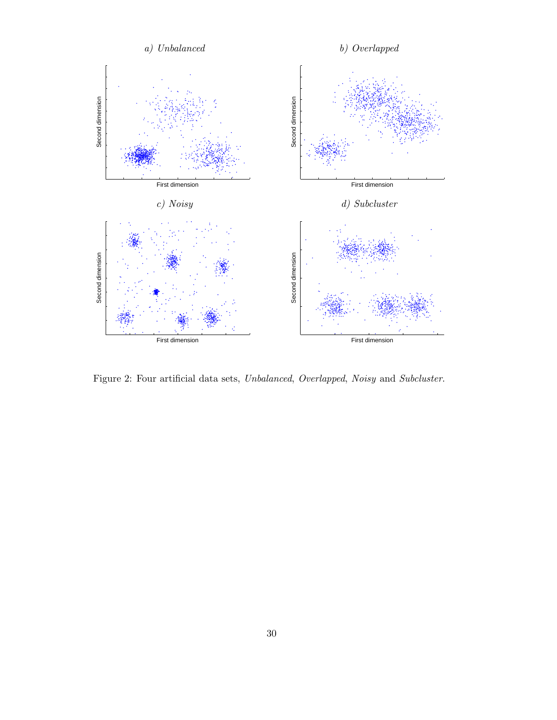

Figure 2: Four artificial data sets, *Unbalanced*, *Overlapped*, *Noisy* and *Subcluster*.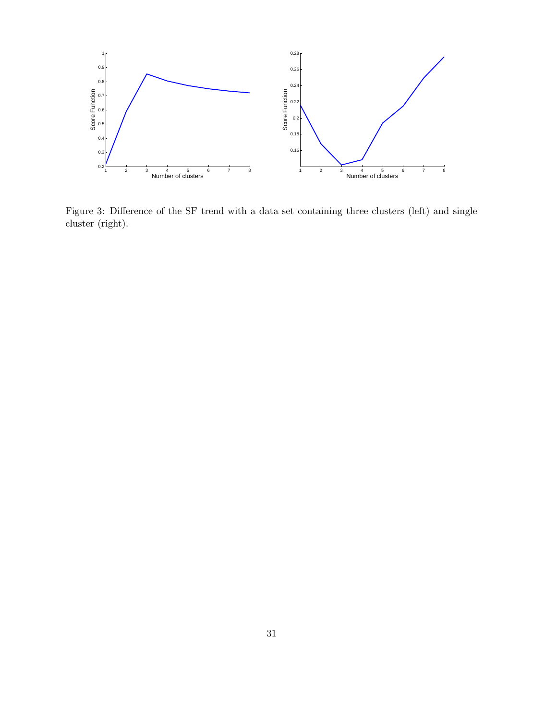

Figure 3: Difference of the SF trend with a data set containing three clusters (left) and single cluster (right).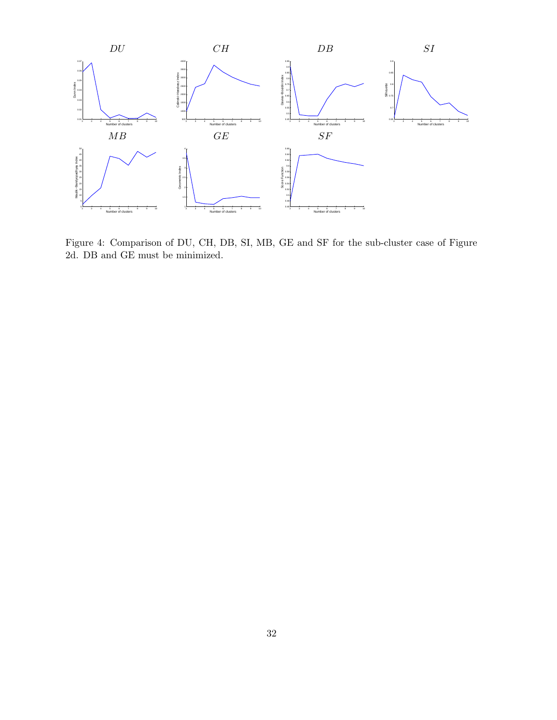

Figure 4: Comparison of DU, CH, DB, SI, MB, GE and SF for the sub-cluster case of Figure 2d. DB and GE must be minimized.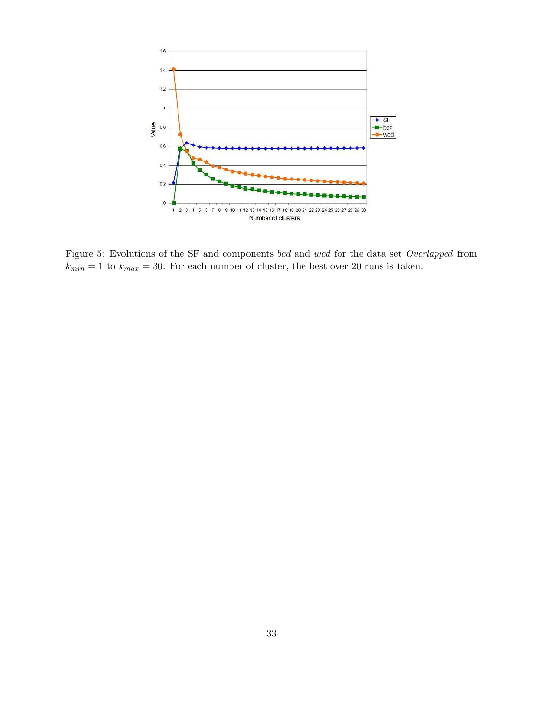

Figure 5: Evolutions of the SF and components bcd and wcd for the data set *Overlapped* from  $k_{min} = 1$  to  $k_{max} = 30$ . For each number of cluster, the best over 20 runs is taken.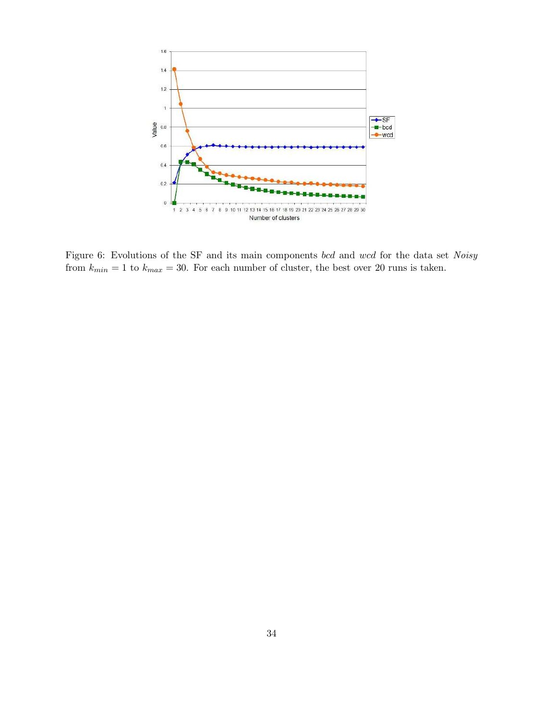

Figure 6: Evolutions of the SF and its main components bcd and wcd for the data set *Noisy* from  $k_{min} = 1$  to  $k_{max} = 30$ . For each number of cluster, the best over 20 runs is taken.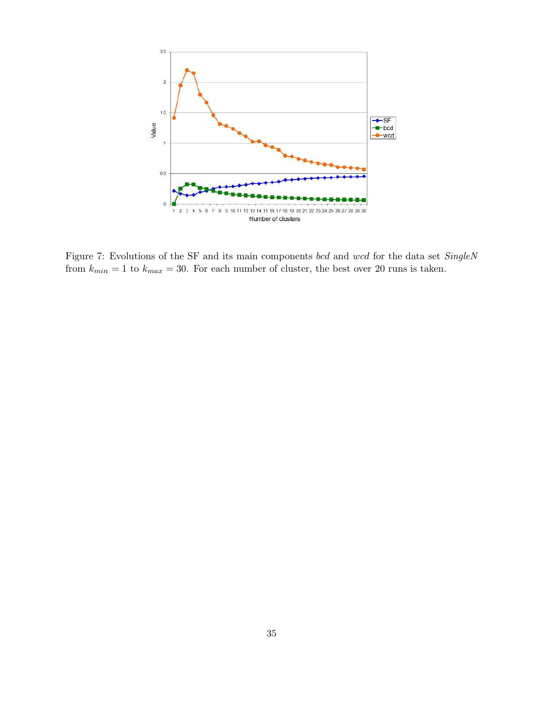

Figure 7: Evolutions of the SF and its main components bcd and wcd for the data set *SingleN* from  $k_{min} = 1$  to  $k_{max} = 30$ . For each number of cluster, the best over 20 runs is taken.